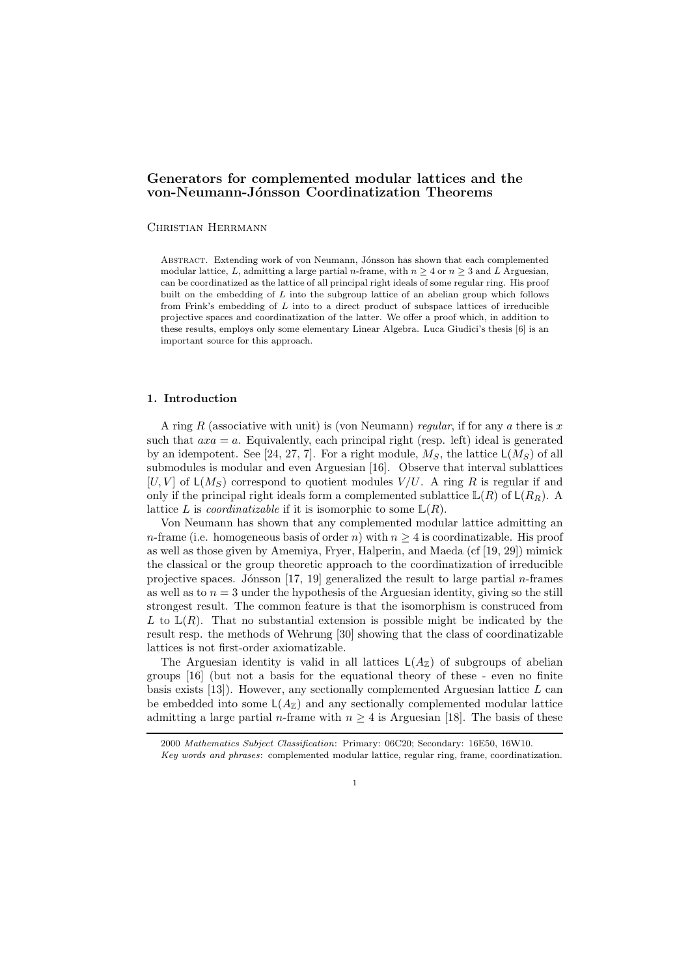# Generators for complemented modular lattices and the von-Neumann-Jónsson Coordinatization Theorems

### Christian Herrmann

ABSTRACT. Extending work of von Neumann, Jónsson has shown that each complemented modular lattice, L, admitting a large partial n-frame, with  $n \geq 4$  or  $n \geq 3$  and L Arguesian, can be coordinatized as the lattice of all principal right ideals of some regular ring. His proof built on the embedding of L into the subgroup lattice of an abelian group which follows from Frink's embedding of  $L$  into to a direct product of subspace lattices of irreducible projective spaces and coordinatization of the latter. We offer a proof which, in addition to these results, employs only some elementary Linear Algebra. Luca Giudici's thesis [6] is an important source for this approach.

# 1. Introduction

A ring R (associative with unit) is (von Neumann) regular, if for any a there is x such that  $axa = a$ . Equivalently, each principal right (resp. left) ideal is generated by an idempotent. See [24, 27, 7]. For a right module,  $M_S$ , the lattice  $\mathsf{L}(M_S)$  of all submodules is modular and even Arguesian [16]. Observe that interval sublattices  $[U, V]$  of  $\mathsf{L}(M_S)$  correspond to quotient modules  $V/U$ . A ring R is regular if and only if the principal right ideals form a complemented sublattice  $\mathbb{L}(R)$  of  $\mathsf{L}(R_R)$ . A lattice L is *coordinatizable* if it is isomorphic to some  $\mathbb{L}(R)$ .

Von Neumann has shown that any complemented modular lattice admitting an n-frame (i.e. homogeneous basis of order n) with  $n \geq 4$  is coordinatizable. His proof as well as those given by Amemiya, Fryer, Halperin, and Maeda (cf [19, 29]) mimick the classical or the group theoretic approach to the coordinatization of irreducible projective spaces. Jónsson  $[17, 19]$  generalized the result to large partial *n*-frames as well as to  $n = 3$  under the hypothesis of the Arguesian identity, giving so the still strongest result. The common feature is that the isomorphism is construced from L to  $\mathbb{L}(R)$ . That no substantial extension is possible might be indicated by the result resp. the methods of Wehrung [30] showing that the class of coordinatizable lattices is not first-order axiomatizable.

The Arguesian identity is valid in all lattices  $\mathsf{L}(A_{\mathbb{Z}})$  of subgroups of abelian groups [16] (but not a basis for the equational theory of these - even no finite basis exists  $[13]$ . However, any sectionally complemented Arguesian lattice L can be embedded into some  $\mathsf{L}(A_{\mathbb{Z}})$  and any sectionally complemented modular lattice admitting a large partial *n*-frame with  $n \geq 4$  is Arguesian [18]. The basis of these

1

<sup>2000</sup> Mathematics Subject Classification: Primary: 06C20; Secondary: 16E50, 16W10.

Key words and phrases: complemented modular lattice, regular ring, frame, coordinatization.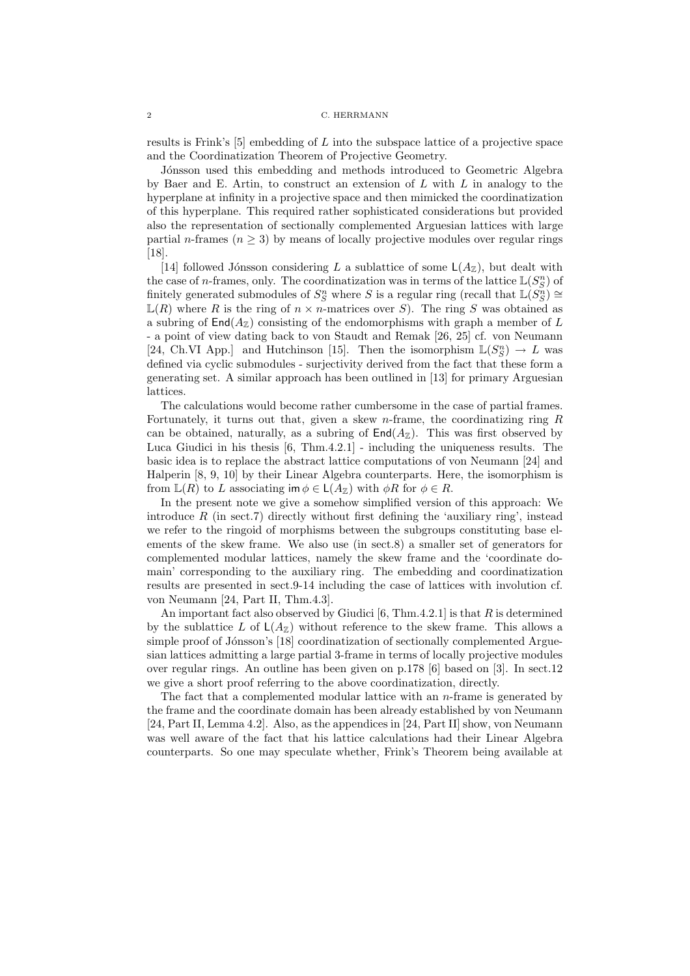results is Frink's  $[5]$  embedding of L into the subspace lattice of a projective space and the Coordinatization Theorem of Projective Geometry.

Jónsson used this embedding and methods introduced to Geometric Algebra by Baer and E. Artin, to construct an extension of  $L$  with  $L$  in analogy to the hyperplane at infinity in a projective space and then mimicked the coordinatization of this hyperplane. This required rather sophisticated considerations but provided also the representation of sectionally complemented Arguesian lattices with large partial *n*-frames ( $n \geq 3$ ) by means of locally projective modules over regular rings [18].

[14] followed Jónsson considering L a sublattice of some  $\mathsf{L}(A_{\mathbb{Z}})$ , but dealt with the case of *n*-frames, only. The coordinatization was in terms of the lattice  $\mathbb{L}(S_S^n)$  of finitely generated submodules of  $S_S^n$  where S is a regular ring (recall that  $\mathbb{L}(S_S^n) \cong$  $\mathbb{L}(R)$  where R is the ring of  $n \times n$ -matrices over S). The ring S was obtained as a subring of  $\text{End}(A_{\mathbb{Z}})$  consisting of the endomorphisms with graph a member of L - a point of view dating back to von Staudt and Remak [26, 25] cf. von Neumann [24, Ch.VI App.] and Hutchinson [15]. Then the isomorphism  $\mathbb{L}(S_S^n) \to L$  was defined via cyclic submodules - surjectivity derived from the fact that these form a generating set. A similar approach has been outlined in [13] for primary Arguesian lattices.

The calculations would become rather cumbersome in the case of partial frames. Fortunately, it turns out that, given a skew n-frame, the coordinatizing ring  $R$ can be obtained, naturally, as a subring of  $\text{End}(A_{\mathbb{Z}})$ . This was first observed by Luca Giudici in his thesis [6, Thm.4.2.1] - including the uniqueness results. The basic idea is to replace the abstract lattice computations of von Neumann [24] and Halperin [8, 9, 10] by their Linear Algebra counterparts. Here, the isomorphism is from  $\mathbb{L}(R)$  to L associating im  $\phi \in \mathsf{L}(A_{\mathbb{Z}})$  with  $\phi R$  for  $\phi \in R$ .

In the present note we give a somehow simplified version of this approach: We introduce  $R$  (in sect.7) directly without first defining the 'auxiliary ring', instead we refer to the ringoid of morphisms between the subgroups constituting base elements of the skew frame. We also use (in sect.8) a smaller set of generators for complemented modular lattices, namely the skew frame and the 'coordinate domain' corresponding to the auxiliary ring. The embedding and coordinatization results are presented in sect.9-14 including the case of lattices with involution cf. von Neumann [24, Part II, Thm.4.3].

An important fact also observed by Giudici  $[6, Thm.4.2.1]$  is that R is determined by the sublattice L of  $\mathsf{L}(A_{\mathbb{Z}})$  without reference to the skew frame. This allows a simple proof of Jónsson's [18] coordinatization of sectionally complemented Arguesian lattices admitting a large partial 3-frame in terms of locally projective modules over regular rings. An outline has been given on p.178 [6] based on [3]. In sect.12 we give a short proof referring to the above coordinatization, directly.

The fact that a complemented modular lattice with an n-frame is generated by the frame and the coordinate domain has been already established by von Neumann [24, Part II, Lemma 4.2]. Also, as the appendices in [24, Part II] show, von Neumann was well aware of the fact that his lattice calculations had their Linear Algebra counterparts. So one may speculate whether, Frink's Theorem being available at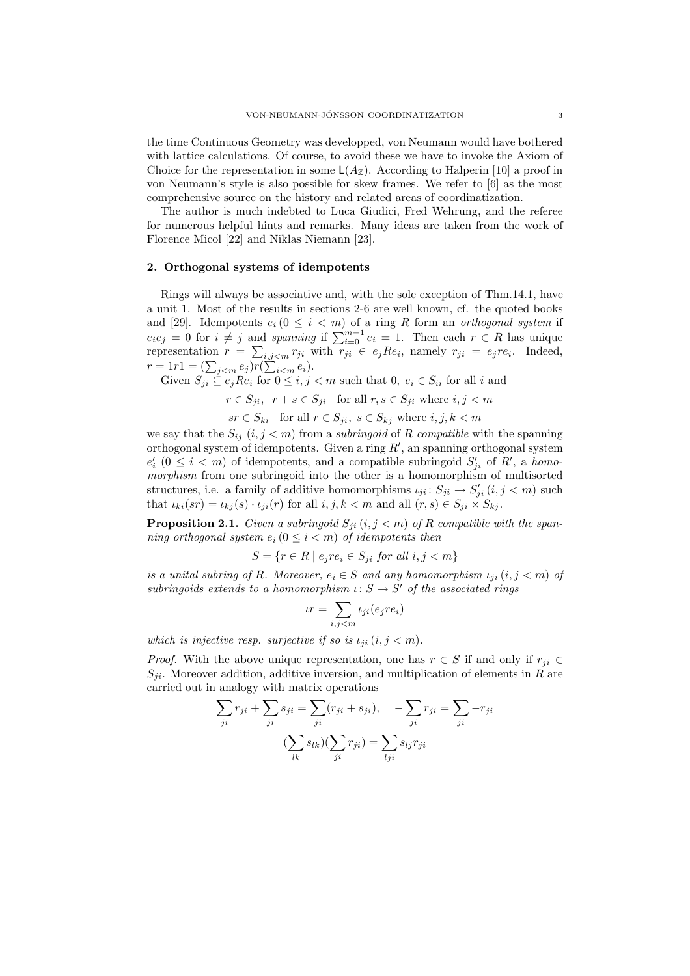the time Continuous Geometry was developped, von Neumann would have bothered with lattice calculations. Of course, to avoid these we have to invoke the Axiom of Choice for the representation in some  $\mathsf{L}(A_{\mathbb{Z}})$ . According to Halperin [10] a proof in von Neumann's style is also possible for skew frames. We refer to [6] as the most comprehensive source on the history and related areas of coordinatization.

The author is much indebted to Luca Giudici, Fred Wehrung, and the referee for numerous helpful hints and remarks. Many ideas are taken from the work of Florence Micol [22] and Niklas Niemann [23].

# 2. Orthogonal systems of idempotents

Rings will always be associative and, with the sole exception of Thm.14.1, have a unit 1. Most of the results in sections 2-6 are well known, cf. the quoted books and [29]. Idempotents  $e_i$  ( $0 \leq i \leq m$ ) of a ring R form an *orthogonal system* if  $e_i e_j = 0$  for  $i \neq j$  and spanning if  $\sum_{i=0}^{m-1} e_i = 1$ . Then each  $r \in R$  has unique representation  $r = \sum_{i,j \leq m} r_{ji}$  with  $r_{ji} \in e_j R e_i$ , namely  $r_{ji} = e_j r e_i$ . Indeed,  $r = 1r1 = (\sum_{j < m} e_j) r(\sum_{i < m} e_i).$ 

Given 
$$
S_{ji} \subseteq e_j Re_i
$$
 for  $0 \le i, j < m$  such that 0,  $e_i \in S_{ii}$  for all  $i$  and

 $-r \in S_{ji}, r + s \in S_{ji}$  for all  $r, s \in S_{ji}$  where  $i, j < m$ 

 $sr \in S_{ki}$  for all  $r \in S_{ji}$ ,  $s \in S_{kj}$  where  $i, j, k < m$ 

we say that the  $S_{ij}$   $(i, j < m)$  from a *subringoid* of R compatible with the spanning orthogonal system of idempotents. Given a ring  $R'$ , an spanning orthogonal system  $e'_{i}$  ( $0 \leq i < m$ ) of idempotents, and a compatible subringoid  $S'_{ji}$  of  $R'$ , a homomorphism from one subringoid into the other is a homomorphism of multisorted structures, i.e. a family of additive homomorphisms  $\iota_{ji} : S_{ji} \to S'_{ji}$   $(i, j < m)$  such that  $\iota_{ki}(sr) = \iota_{kj}(s) \cdot \iota_{ji}(r)$  for all  $i, j, k < m$  and all  $(r, s) \in S_{ji} \times S_{kj}$ .

**Proposition 2.1.** Given a subringoid  $S_{ji}$   $(i, j < m)$  of R compatible with the spanning orthogonal system  $e_i$  ( $0 \leq i < m$ ) of idempotents then

$$
S = \{ r \in R \mid e_j re_i \in S_{ji} \text{ for all } i, j < m \}
$$

is a unital subring of R. Moreover,  $e_i \in S$  and any homomorphism  $\iota_{ji} (i, j < m)$  of subringoids extends to a homomorphism  $\iota: S \to S'$  of the associated rings

$$
tr = \sum_{i,j < m} t_{ji}(e_j r e_i)
$$

which is injective resp. surjective if so is  $\iota_{ii}$   $(i, j < m)$ .

*Proof.* With the above unique representation, one has  $r \in S$  if and only if  $r_{ii} \in$  $S_{ji}$ . Moreover addition, additive inversion, and multiplication of elements in R are carried out in analogy with matrix operations

$$
\sum_{ji} r_{ji} + \sum_{ji} s_{ji} = \sum_{ji} (r_{ji} + s_{ji}), \quad -\sum_{ji} r_{ji} = \sum_{ji} -r_{ji}
$$

$$
(\sum_{lk} s_{lk})(\sum_{ji} r_{ji}) = \sum_{lji} s_{lj} r_{ji}
$$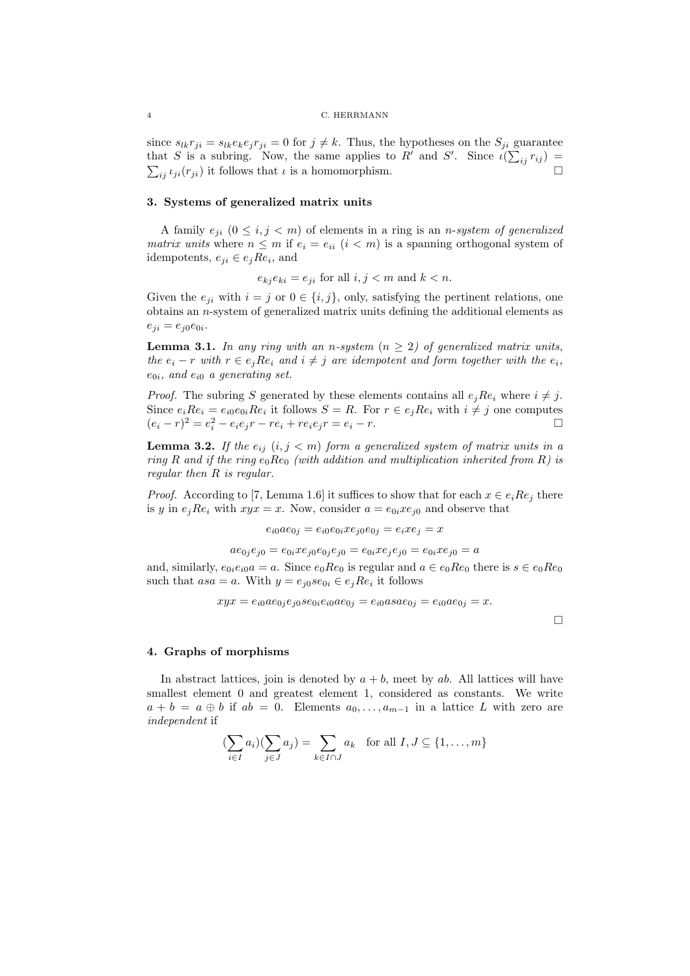### 4 C. HERRMANN

since  $s_{lk}r_{ji} = s_{lk}e_k e_j r_{ji} = 0$  for  $j \neq k$ . Thus, the hypotheses on the  $S_{ji}$  guarantee that S is a subring. Now, the same applies to R' and S'. Since  $\iota(\sum_{ij} r_{ij}) =$  $\sum_{ij} \iota_{ji}(r_{ji})$  it follows that  $\iota$  is a homomorphism.

# 3. Systems of generalized matrix units

A family  $e_{ji}$   $(0 \le i, j < m)$  of elements in a ring is an *n*-system of generalized matrix units where  $n \leq m$  if  $e_i = e_{ii}$   $(i < m)$  is a spanning orthogonal system of idempotents,  $e_{ji} \in e_j R e_i$ , and

 $e_{kj} e_{ki} = e_{ji}$  for all  $i, j < m$  and  $k < n$ .

Given the  $e_{ji}$  with  $i = j$  or  $0 \in \{i, j\}$ , only, satisfying the pertinent relations, one obtains an n-system of generalized matrix units defining the additional elements as  $e_{ji} = e_{j0}e_{0i}.$ 

**Lemma 3.1.** In any ring with an n-system  $(n \geq 2)$  of generalized matrix units, the  $e_i - r$  with  $r \in e_j R e_i$  and  $i \neq j$  are idempotent and form together with the  $e_i$ ,  $e_{0i}$ , and  $e_{i0}$  a generating set.

*Proof.* The subring S generated by these elements contains all  $e_i Re_i$  where  $i \neq j$ . Since  $e_i Re_i = e_{i0} e_{0i} Re_i$  it follows  $S = R$ . For  $r \in e_j Re_i$  with  $i \neq j$  one computes  $(e_i - r)^2 = e_i^2 - e_i e_j r - r e_i + r e_i e_j r = e_i - r.$ 

**Lemma 3.2.** If the  $e_{ij}$   $(i, j < m)$  form a generalized system of matrix units in a ring R and if the ring  $e_0$ Re<sub>0</sub> (with addition and multiplication inherited from R) is regular then R is regular.

*Proof.* According to [7, Lemma 1.6] it suffices to show that for each  $x \in e_i Re_j$  there is y in  $e_j Re_i$  with  $xyx = x$ . Now, consider  $a = e_{0i}xe_{j0}$  and observe that

$$
e_{i0}ae_{0j} = e_{i0}e_{0i}xe_{j0}e_{0j} = e_ixe_j = x
$$

 $a e_{0j} e_{j0} = e_{0i} x e_{j0} e_{0j} e_{j0} = e_{0i} x e_{j} e_{j0} = e_{0i} x e_{j0} = a$ 

and, similarly,  $e_{0i}e_{i0}a = a$ . Since  $e_0Re_0$  is regular and  $a \in e_0Re_0$  there is  $s \in e_0Re_0$ such that  $asa = a$ . With  $y = e_{j0}se_{0i} \in e_jRe_i$  it follows

$$
xyx = e_{i0}ae_{0j}e_{j0}se_{0i}e_{i0}ae_{0j} = e_{i0}asae_{0j} = e_{i0}ae_{0j} = x.
$$

 $\Box$ 

# 4. Graphs of morphisms

In abstract lattices, join is denoted by  $a + b$ , meet by ab. All lattices will have smallest element 0 and greatest element 1, considered as constants. We write  $a + b = a \oplus b$  if  $ab = 0$ . Elements  $a_0, \ldots, a_{m-1}$  in a lattice L with zero are independent if

$$
(\sum_{i \in I} a_i)(\sum_{j \in J} a_j) = \sum_{k \in I \cap J} a_k \text{ for all } I, J \subseteq \{1, \dots, m\}
$$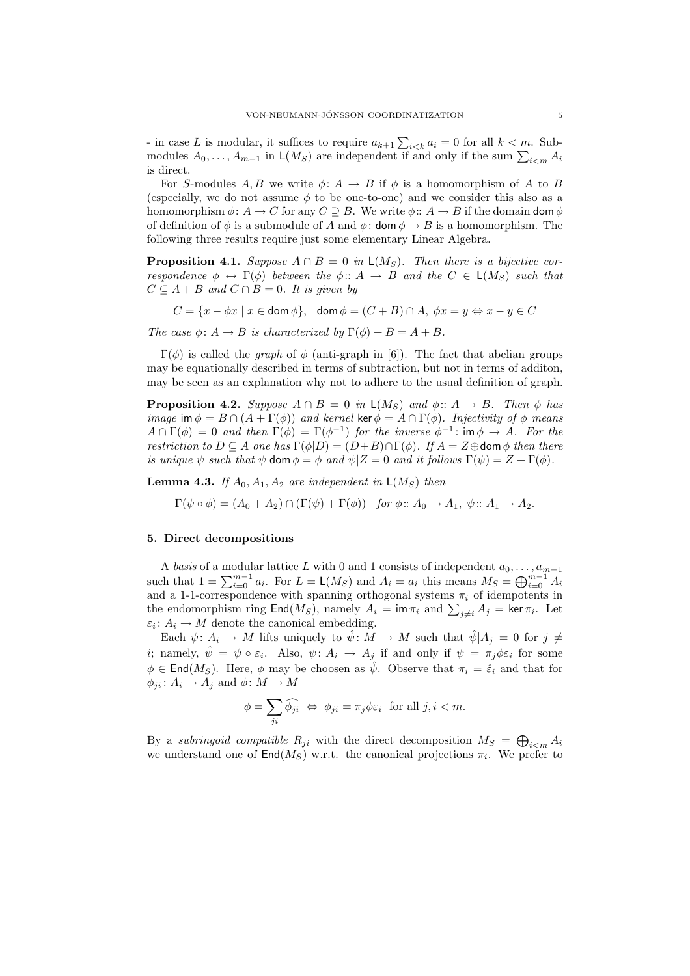- in case L is modular, it suffices to require  $a_{k+1} \sum_{i \leq k} a_i = 0$  for all  $k \leq m$ . Submodules  $A_0, \ldots, A_{m-1}$  in  $\mathsf{L}(M_S)$  are independent if and only if the sum  $\sum_{i \leq m} A_i$ is direct.

For S-modules A, B we write  $\phi: A \to B$  if  $\phi$  is a homomorphism of A to B (especially, we do not assume  $\phi$  to be one-to-one) and we consider this also as a homomorphism  $\phi: A \to C$  for any  $C \supseteq B$ . We write  $\phi: A \to B$  if the domain dom  $\phi$ of definition of  $\phi$  is a submodule of A and  $\phi$ : dom  $\phi \rightarrow B$  is a homomorphism. The following three results require just some elementary Linear Algebra.

**Proposition 4.1.** Suppose  $A \cap B = 0$  in  $\mathsf{L}(M_S)$ . Then there is a bijective correspondence  $\phi \leftrightarrow \Gamma(\phi)$  between the  $\phi: A \rightarrow B$  and the  $C \in \mathsf{L}(M_S)$  such that  $C \subseteq A + B$  and  $C \cap B = 0$ . It is given by

 $C = \{x - \phi x \mid x \in \text{dom }\phi\},\ \ \text{dom }\phi = (C + B) \cap A, \ \phi x = y \Leftrightarrow x - y \in C$ 

The case  $\phi: A \to B$  is characterized by  $\Gamma(\phi) + B = A + B$ .

 $\Gamma(\phi)$  is called the *graph* of  $\phi$  (anti-graph in [6]). The fact that abelian groups may be equationally described in terms of subtraction, but not in terms of additon, may be seen as an explanation why not to adhere to the usual definition of graph.

**Proposition 4.2.** Suppose  $A \cap B = 0$  in  $\mathsf{L}(M_S)$  and  $\phi :: A \to B$ . Then  $\phi$  has image im  $\phi = B \cap (A + \Gamma(\phi))$  and kernel ker  $\phi = A \cap \Gamma(\phi)$ . Injectivity of  $\phi$  means  $A \cap \Gamma(\phi) = 0$  and then  $\Gamma(\phi) = \Gamma(\phi^{-1})$  for the inverse  $\phi^{-1}$ : im  $\phi \to A$ . For the restriction to  $D \subseteq A$  one has  $\Gamma(\phi|D) = (D+B) \cap \Gamma(\phi)$ . If  $A = Z \oplus$  dom  $\phi$  then there is unique  $\psi$  such that  $\psi$ |dom  $\phi = \phi$  and  $\psi$ |Z = 0 and it follows  $\Gamma(\psi) = Z + \Gamma(\phi)$ .

**Lemma 4.3.** If  $A_0$ ,  $A_1$ ,  $A_2$  are independent in  $L(M_S)$  then

 $\Gamma(\psi \circ \phi) = (A_0 + A_2) \cap (\Gamma(\psi) + \Gamma(\phi))$  for  $\phi :: A_0 \to A_1$ ,  $\psi :: A_1 \to A_2$ .

### 5. Direct decompositions

A basis of a modular lattice L with 0 and 1 consists of independent  $a_0, \ldots, a_{m-1}$ such that  $1 = \sum_{i=0}^{m-1} a_i$ . For  $L = L(M_S)$  and  $A_i = a_i$  this means  $M_S = \bigoplus_{i=0}^{m-1} A_i$ and a 1-1-correspondence with spanning orthogonal systems  $\pi_i$  of idempotents in the endomorphism ring  $\textsf{End}(M_S)$ , namely  $A_i = \textsf{im } \pi_i$  and  $\sum_{j \neq i} A_j = \textsf{ker } \pi_i$ . Let  $\varepsilon_i: A_i \to M$  denote the canonical embedding.

Each  $\psi: A_i \to M$  lifts uniquely to  $\hat{\psi}: M \to M$  such that  $\hat{\psi}|A_j=0$  for  $j \neq$ *i*; namely,  $\hat{\psi} = \psi \circ \varepsilon_i$ . Also,  $\psi: A_i \to A_j$  if and only if  $\psi = \pi_j \phi \varepsilon_i$  for some  $\phi \in \text{End}(M_S)$ . Here,  $\phi$  may be choosen as  $\hat{\psi}$ . Observe that  $\pi_i = \hat{\varepsilon}_i$  and that for  $\phi_{ji} : A_i \to A_j$  and  $\phi : M \to M$ 

$$
\phi = \sum_{ji} \widehat{\phi_{ji}} \iff \phi_{ji} = \pi_j \phi \varepsilon_i \text{ for all } j, i < m.
$$

By a subringoid compatible  $R_{ji}$  with the direct decomposition  $M_S = \bigoplus_{i \leq m} A_i$ we understand one of  $\textsf{End}(M_S)$  w.r.t. the canonical projections  $\pi_i$ . We prefer to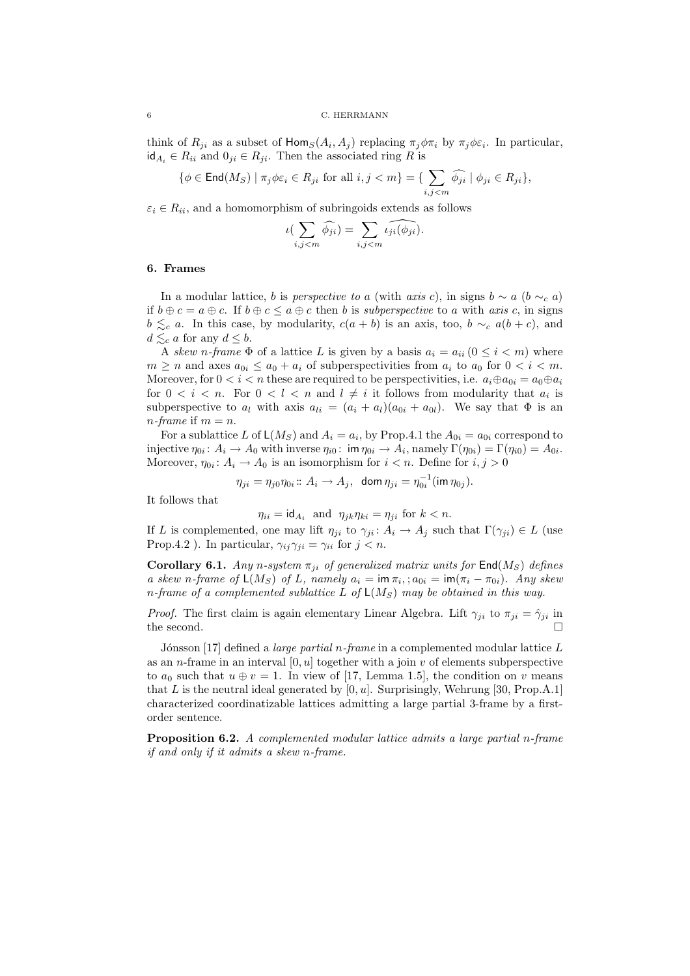think of  $R_{ji}$  as a subset of  $\text{Hom}_S(A_i, A_j)$  replacing  $\pi_j \phi \pi_i$  by  $\pi_j \phi \varepsilon_i$ . In particular,  $id_{A_i} \in R_{ii}$  and  $0_{ji} \in R_{ji}$ . Then the associated ring R is

$$
\{\phi \in \text{End}(M_S) \mid \pi_j \phi \varepsilon_i \in R_{ji} \text{ for all } i, j < m\} = \{\sum_{i,j < m} \widehat{\phi_{ji}} \mid \phi_{ji} \in R_{ji}\},\
$$

 $\varepsilon_i \in R_{ii}$ , and a homomorphism of subringoids extends as follows

$$
\iota(\sum_{i,j
$$

### 6. Frames

In a modular lattice, b is perspective to a (with axis c), in signs  $b \sim a$  ( $b \sim_c a$ ) if  $b \oplus c = a \oplus c$ . If  $b \oplus c \le a \oplus c$  then b is *subperspective* to a with axis c, in signs  $b \leq_c a$ . In this case, by modularity,  $c(a + b)$  is an axis, too,  $b \sim_c a(b + c)$ , and  $d \lesssim_c a$  for any  $d \leq b$ .

A skew n-frame  $\Phi$  of a lattice L is given by a basis  $a_i = a_{ii}$  ( $0 \le i \le m$ ) where  $m \geq n$  and axes  $a_{0i} \leq a_0 + a_i$  of subperspectivities from  $a_i$  to  $a_0$  for  $0 < i < m$ . Moreover, for  $0 < i < n$  these are required to be perspectivities, i.e.  $a_i \oplus a_{0i} = a_0 \oplus a_i$ for  $0 < i < n$ . For  $0 < l < n$  and  $l \neq i$  it follows from modularity that  $a_i$  is subperspective to  $a_l$  with axis  $a_{li} = (a_i + a_l)(a_{0i} + a_{0l})$ . We say that  $\Phi$  is an *n*-frame if  $m = n$ .

For a sublattice L of  $\mathsf{L}(M_S)$  and  $A_i = a_i$ , by Prop.4.1 the  $A_{0i} = a_{0i}$  correspond to injective  $\eta_{0i} : A_i \to A_0$  with inverse  $\eta_{i0} : \text{ im } \eta_{0i} \to A_i$ , namely  $\Gamma(\eta_{0i}) = \Gamma(\eta_{i0}) = A_{0i}$ . Moreover,  $\eta_{0i}$ :  $A_i \to A_0$  is an isomorphism for  $i < n$ . Define for  $i, j > 0$ 

$$
\eta_{ji} = \eta_{j0}\eta_{0i} :: A_i \to A_j, \ \ \text{dom}\ \eta_{ji} = \eta_{0i}^{-1}(\text{im}\ \eta_{0j}).
$$

It follows that

$$
\eta_{ii} = \mathrm{id}_{A_i} \quad \text{and} \quad \eta_{jk}\eta_{ki} = \eta_{ji} \text{ for } k < n.
$$

If L is complemented, one may lift  $\eta_{ji}$  to  $\gamma_{ji} : A_i \to A_j$  such that  $\Gamma(\gamma_{ji}) \in L$  (use Prop.4.2). In particular,  $\gamma_{ij}\gamma_{ji} = \gamma_{ii}$  for  $j < n$ .

**Corollary 6.1.** Any n-system  $\pi_{ii}$  of generalized matrix units for  $\text{End}(M_S)$  defines a skew n-frame of  $\mathsf{L}(M_S)$  of L, namely  $a_i = \mathsf{im} \, \pi_i$ ;  $a_{0i} = \mathsf{im}(\pi_i - \pi_{0i})$ . Any skew n-frame of a complemented sublattice L of  $\mathsf{L}(M_S)$  may be obtained in this way.

*Proof.* The first claim is again elementary Linear Algebra. Lift  $\gamma_{ji}$  to  $\pi_{ji} = \hat{\gamma}_{ji}$  in the second.  $\square$ 

Jónsson [17] defined a large partial n-frame in a complemented modular lattice  $L$ as an *n*-frame in an interval  $[0, u]$  together with a join v of elements subperspective to  $a_0$  such that  $u \oplus v = 1$ . In view of [17, Lemma 1.5], the condition on v means that L is the neutral ideal generated by  $[0, u]$ . Surprisingly, Wehrung [30, Prop.A.1] characterized coordinatizable lattices admitting a large partial 3-frame by a firstorder sentence.

Proposition 6.2. A complemented modular lattice admits a large partial n-frame if and only if it admits a skew n-frame.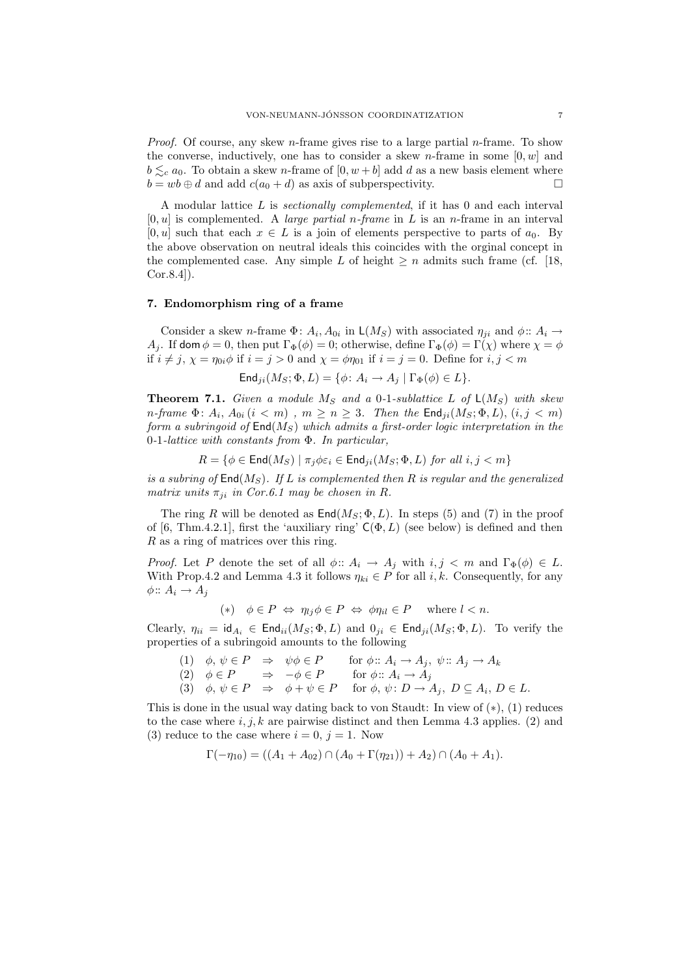*Proof.* Of course, any skew *n*-frame gives rise to a large partial *n*-frame. To show the converse, inductively, one has to consider a skew *n*-frame in some  $[0, w]$  and  $b \leq_c a_0$ . To obtain a skew *n*-frame of  $[0, w + b]$  add d as a new basis element where  $b = wb \oplus d$  and add  $c(a_0 + d)$  as axis of subperspectivity.

A modular lattice L is sectionally complemented, if it has 0 and each interval  $[0, u]$  is complemented. A *large partial n-frame* in L is an *n*-frame in an interval [0, u] such that each  $x \in L$  is a join of elements perspective to parts of  $a_0$ . By the above observation on neutral ideals this coincides with the orginal concept in the complemented case. Any simple L of height  $\geq n$  admits such frame (cf. [18, Cor.8.4]).

# 7. Endomorphism ring of a frame

Consider a skew *n*-frame  $\Phi: A_i, A_{0i}$  in  $\mathsf{L}(M_S)$  with associated  $\eta_{ji}$  and  $\phi: A_i \to$ A<sub>j</sub>. If dom  $\phi = 0$ , then put  $\Gamma_{\Phi}(\phi) = 0$ ; otherwise, define  $\Gamma_{\Phi}(\phi) = \Gamma(\chi)$  where  $\chi = \phi$ if  $i \neq j$ ,  $\chi = \eta_{0i} \phi$  if  $i = j > 0$  and  $\chi = \phi \eta_{01}$  if  $i = j = 0$ . Define for  $i, j < m$ 

$$
\mathsf{End}_{ji}(M_S; \Phi, L) = \{ \phi \colon A_i \to A_j \mid \Gamma_{\Phi}(\phi) \in L \}.
$$

**Theorem 7.1.** Given a module  $M_S$  and a 0-1-sublattice L of  $\mathsf{L}(M_S)$  with skew n-frame  $\Phi$ :  $A_i$ ,  $A_{0i}$   $(i < m)$ ,  $m \ge n \ge 3$ . Then the  $\mathsf{End}_{ji}(M_S; \Phi, L),$   $(i, j < m)$ form a subringoid of  $\text{End}(M_S)$  which admits a first-order logic interpretation in the 0-1-lattice with constants from Φ. In particular,

$$
R = \{ \phi \in \text{End}(M_S) \mid \pi_j \phi \varepsilon_i \in \text{End}_{ji}(M_S; \Phi, L) \text{ for all } i, j < m \}
$$

is a subring of  $\text{End}(M_S)$ . If L is complemented then R is regular and the generalized matrix units  $\pi_{ji}$  in Cor.6.1 may be chosen in R.

The ring R will be denoted as  $\text{End}(M_S; \Phi, L)$ . In steps (5) and (7) in the proof of [6, Thm.4.2.1], first the 'auxiliary ring'  $C(\Phi, L)$  (see below) is defined and then R as a ring of matrices over this ring.

*Proof.* Let P denote the set of all  $\phi$ ::  $A_i \rightarrow A_j$  with  $i, j < m$  and  $\Gamma_{\Phi}(\phi) \in L$ . With Prop.4.2 and Lemma 4.3 it follows  $\eta_{ki} \in P$  for all i, k. Consequently, for any  $\phi$ ::  $A_i \rightarrow A_j$ 

$$
(*) \quad \phi \in P \iff \eta_{lj} \phi \in P \iff \phi \eta_{il} \in P \quad \text{where } l < n.
$$

Clearly,  $\eta_{ii} = id_{A_i} \in \text{End}_{ii}(M_S; \Phi, L)$  and  $0_{ii} \in \text{End}_{ii}(M_S; \Phi, L)$ . To verify the properties of a subringoid amounts to the following

(1)  $\phi, \psi \in P \Rightarrow \psi \phi \in P$  for  $\phi : A_i \to A_j, \psi : A_j \to A_k$ (2)  $\phi \in P \Rightarrow -\phi \in P \quad \text{for } \phi \colon A_i \to A_j$ (3)  $\phi, \psi \in P \Rightarrow \phi + \psi \in P \text{ for } \phi, \psi \colon D \to A_j, D \subseteq A_i, D \in L.$ 

This is done in the usual way dating back to von Staudt: In view of (∗), (1) reduces to the case where i, j, k are pairwise distinct and then Lemma 4.3 applies. (2) and (3) reduce to the case where  $i = 0, j = 1$ . Now

$$
\Gamma(-\eta_{10}) = ((A_1 + A_{02}) \cap (A_0 + \Gamma(\eta_{21})) + A_2) \cap (A_0 + A_1).
$$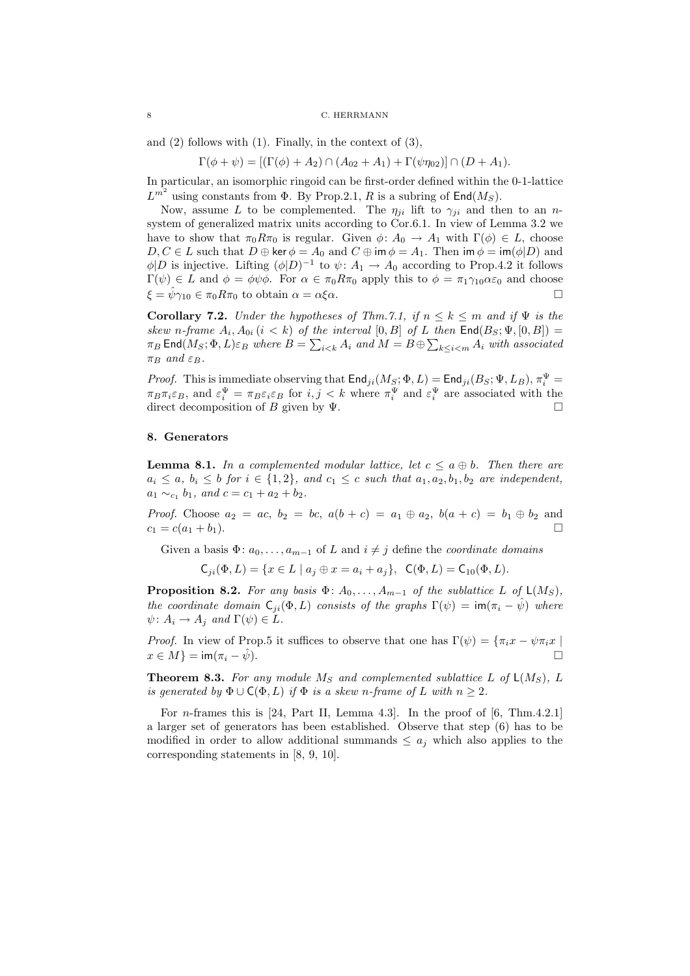and  $(2)$  follows with  $(1)$ . Finally, in the context of  $(3)$ ,

 $\Gamma(\phi + \psi) = [(\Gamma(\phi) + A_2) \cap (A_{02} + A_1) + \Gamma(\psi \eta_{02})] \cap (D + A_1).$ 

In particular, an isomorphic ringoid can be first-order defined within the 0-1-lattice  $L^{m^2}$  using constants from  $\Phi$ . By Prop. 2.1, R is a subring of End $(M_S)$ .

Now, assume L to be complemented. The  $\eta_{ii}$  lift to  $\gamma_{ii}$  and then to an nsystem of generalized matrix units according to Cor.6.1. In view of Lemma 3.2 we have to show that  $\pi_0 R \pi_0$  is regular. Given  $\phi: A_0 \to A_1$  with  $\Gamma(\phi) \in L$ , choose  $D, C \in L$  such that  $D \oplus \ker \phi = A_0$  and  $C \oplus \operatorname{im} \phi = A_1$ . Then  $\operatorname{im} \phi = \operatorname{im}(\phi | D)$  and  $\phi|D$  is injective. Lifting  $(\phi|D)^{-1}$  to  $\psi: A_1 \to A_0$  according to Prop.4.2 it follows  $\Gamma(\psi) \in L$  and  $\phi = \phi \psi \phi$ . For  $\alpha \in \pi_0 R \pi_0$  apply this to  $\phi = \pi_1 \gamma_{10} \alpha \varepsilon_0$  and choose  $\xi = \hat{\psi}\gamma_{10} \in \pi_0 R \pi_0$  to obtain  $\alpha = \alpha \xi \alpha$ .

**Corollary 7.2.** Under the hypotheses of Thm.7.1, if  $n \leq k \leq m$  and if  $\Psi$  is the skew n-frame  $A_i$ ,  $A_{0i}$   $(i < k)$  of the interval  $[0, B]$  of L then  $\text{End}(B_S; \Psi, [0, B]) =$  $\pi_B$  End $(M_S; \Phi, L)\varepsilon_B$  where  $B = \sum_{i \leq k} A_i$  and  $M = B \oplus \sum_{k \leq i \leq m} A_i$  with associated  $\pi_B$  and  $\varepsilon_B$ .

*Proof.* This is immediate observing that  $\textsf{End}_{ji}(M_S; \Phi, L) = \textsf{End}_{ji}(B_S; \Psi, L_B), \pi_i^{\Psi} =$  $\pi_B \pi_i \varepsilon_B$ , and  $\varepsilon_i^{\Psi} = \pi_B \varepsilon_i \varepsilon_B$  for  $i, j < k$  where  $\pi_i^{\Psi}$  and  $\varepsilon_i^{\Psi}$  are associated with the direct decomposition of B given by  $\Psi$ .

## 8. Generators

**Lemma 8.1.** In a complemented modular lattice, let  $c \le a \oplus b$ . Then there are  $a_i \leq a, b_i \leq b$  for  $i \in \{1,2\}$ , and  $c_1 \leq c$  such that  $a_1, a_2, b_1, b_2$  are independent,  $a_1 \sim_{c_1} b_1$ , and  $c = c_1 + a_2 + b_2$ .

*Proof.* Choose  $a_2 = ac$ ,  $b_2 = bc$ ,  $a(b + c) = a_1 \oplus a_2$ ,  $b(a + c) = b_1 \oplus b_2$  and  $c_1 = c(a_1 + b_1).$ 

Given a basis  $\Phi: a_0, \ldots, a_{m-1}$  of L and  $i \neq j$  define the *coordinate domains* 

$$
\mathsf{C}_{ji}(\Phi, L) = \{ x \in L \mid a_j \oplus x = a_i + a_j \}, \ \ \mathsf{C}(\Phi, L) = \mathsf{C}_{10}(\Phi, L).
$$

**Proposition 8.2.** For any basis  $\Phi: A_0, \ldots, A_{m-1}$  of the sublattice L of  $\mathsf{L}(M_S)$ , the coordinate domain  $C_{ii}(\Phi, L)$  consists of the graphs  $\Gamma(\psi) = \text{im}(\pi_i - \hat{\psi})$  where  $\psi: A_i \to A_j$  and  $\Gamma(\psi) \in L$ .

*Proof.* In view of Prop.5 it suffices to observe that one has  $\Gamma(\psi) = \{\pi_i x - \psi \pi_i x \mid$  $x \in M$ } = im( $\pi_i - \hat{\psi}$ ).

**Theorem 8.3.** For any module  $M_S$  and complemented sublattice L of  $\mathsf{L}(M_S)$ , L is generated by  $\Phi \cup C(\Phi, L)$  if  $\Phi$  is a skew n-frame of L with  $n \geq 2$ .

For n-frames this is [24, Part II, Lemma 4.3]. In the proof of [6, Thm.4.2.1] a larger set of generators has been established. Observe that step (6) has to be modified in order to allow additional summands  $\leq a_i$  which also applies to the corresponding statements in [8, 9, 10].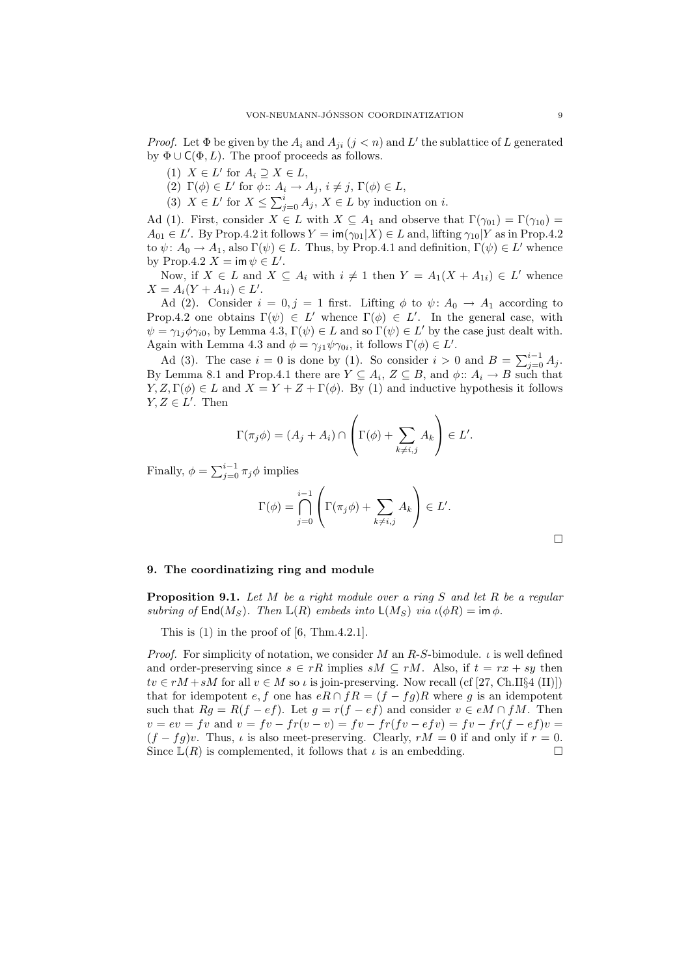*Proof.* Let  $\Phi$  be given by the  $A_i$  and  $A_{ji}$   $(j < n)$  and  $L'$  the sublattice of L generated by  $\Phi \cup C(\Phi, L)$ . The proof proceeds as follows.

- (1)  $X \in L'$  for  $A_i \supseteq X \in L$ ,
- (2)  $\Gamma(\phi) \in L'$  for  $\phi :: A_i \to A_j, i \neq j, \Gamma(\phi) \in L$ ,
- (3)  $X \in L'$  for  $X \le \sum_{j=0}^{i} A_j$ ,  $X \in L$  by induction on *i*.

Ad (1). First, consider  $X \in L$  with  $X \subseteq A_1$  and observe that  $\Gamma(\gamma_{01}) = \Gamma(\gamma_{10}) =$  $A_{01} \in L'$ . By Prop.4.2 it follows  $Y = \text{im}(\gamma_{01}|X) \in L$  and, lifting  $\gamma_{10}|Y$  as in Prop.4.2 to  $\psi: A_0 \to A_1$ , also  $\Gamma(\psi) \in L$ . Thus, by Prop.4.1 and definition,  $\Gamma(\psi) \in L'$  whence by Prop.4.2  $X = \text{im } \psi \in L'.$ 

Now, if  $X \in L$  and  $X \subseteq A_i$  with  $i \neq 1$  then  $Y = A_1(X + A_{1i}) \in L'$  whence  $X = A_i(Y + A_{1i}) \in L'.$ 

Ad (2). Consider  $i = 0, j = 1$  first. Lifting  $\phi$  to  $\psi: A_0 \to A_1$  according to Prop.4.2 one obtains  $\Gamma(\psi) \in L'$  whence  $\Gamma(\phi) \in L'$ . In the general case, with  $\psi = \gamma_{1j} \phi \gamma_{i0}$ , by Lemma 4.3,  $\Gamma(\psi) \in L$  and so  $\Gamma(\psi) \in L'$  by the case just dealt with. Again with Lemma 4.3 and  $\phi = \gamma_{j1} \psi \gamma_{0i}$ , it follows  $\Gamma(\phi) \in L'$ .

Ad (3). The case  $i = 0$  is done by (1). So consider  $i > 0$  and  $B = \sum_{j=0}^{i-1} A_j$ . By Lemma 8.1 and Prop.4.1 there are  $Y \subseteq A_i$ ,  $Z \subseteq B$ , and  $\phi$ :  $A_i \to B$  such that  $Y, Z, \Gamma(\phi) \in L$  and  $X = Y + Z + \Gamma(\phi)$ . By (1) and inductive hypothesis it follows  $Y, Z \in L'$ . Then

$$
\Gamma(\pi_j \phi) = (A_j + A_i) \cap \left( \Gamma(\phi) + \sum_{k \neq i,j} A_k \right) \in L'.
$$

Finally,  $\phi = \sum_{j=0}^{i-1} \pi_j \phi$  implies

$$
\Gamma(\phi) = \bigcap_{j=0}^{i-1} \left( \Gamma(\pi_j \phi) + \sum_{k \neq i,j} A_k \right) \in L'.
$$

 $\Box$ 

## 9. The coordinatizing ring and module

**Proposition 9.1.** Let  $M$  be a right module over a ring  $S$  and let  $R$  be a regular subring of  $\text{End}(M_S)$ . Then  $\mathbb{L}(R)$  embeds into  $\mathsf{L}(M_S)$  via  $\iota(\phi R) = \text{im } \phi$ .

This is  $(1)$  in the proof of  $[6, Thm.4.2.1]$ .

*Proof.* For simplicity of notation, we consider M an R-S-bimodule.  $\iota$  is well defined and order-preserving since  $s \in rR$  implies  $sM \subseteq rM$ . Also, if  $t = rx + sy$  then  $tv \in rM + sM$  for all  $v \in M$  so  $\iota$  is join-preserving. Now recall (cf [27, Ch.II§4 (II)]) that for idempotent  $e, f$  one has  $eR \cap fR = (f - fg)R$  where g is an idempotent such that  $Rg = R(f - ef)$ . Let  $g = r(f - ef)$  and consider  $v \in eM \cap fM$ . Then  $v = ev = fv$  and  $v = fv - fr(v - v) = fv - fr(fv - efv) = fv - fr(f - ef)v =$  $(f - fg)v$ . Thus,  $\iota$  is also meet-preserving. Clearly,  $rM = 0$  if and only if  $r = 0$ . Since  $\mathbb{L}(R)$  is complemented, it follows that  $\iota$  is an embedding.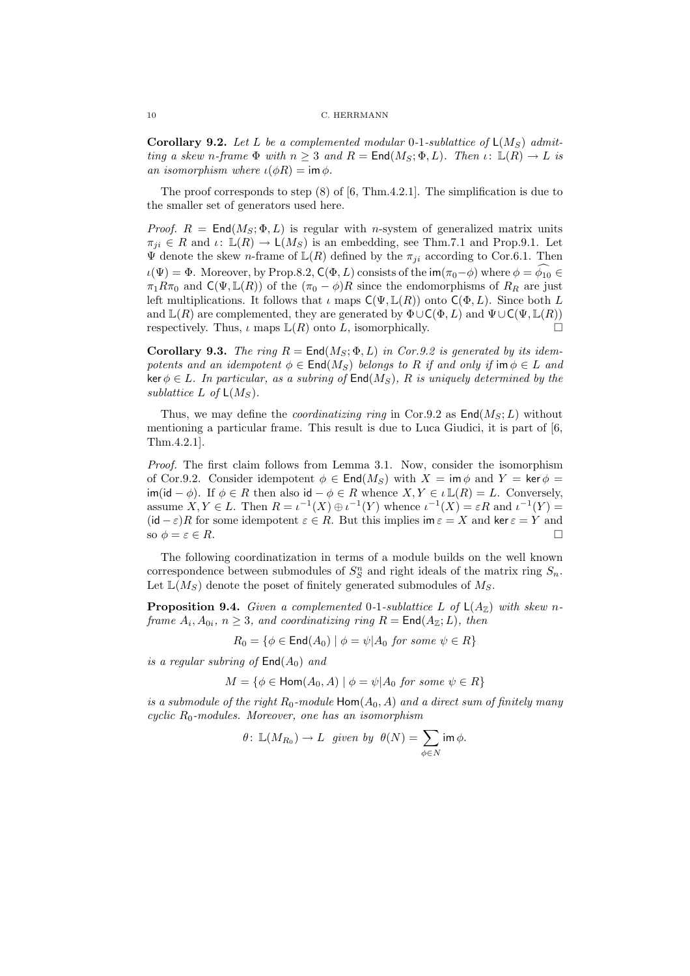**Corollary 9.2.** Let L be a complemented modular 0-1-sublattice of  $L(M_S)$  admitting a skew n-frame  $\Phi$  with  $n \geq 3$  and  $R = \text{End}(M_S; \Phi, L)$ . Then  $\iota: \mathbb{L}(R) \to L$  is an isomorphism where  $\iota(\phi R) = \text{im } \phi$ .

The proof corresponds to step (8) of [6, Thm.4.2.1]. The simplification is due to the smaller set of generators used here.

*Proof.*  $R = End(M_S; \Phi, L)$  is regular with *n*-system of generalized matrix units  $\pi_{ji} \in R$  and  $\iota: \mathbb{L}(R) \to \mathsf{L}(M_S)$  is an embedding, see Thm.7.1 and Prop.9.1. Let  $\Psi$  denote the skew *n*-frame of  $\mathbb{L}(R)$  defined by the  $\pi_{ji}$  according to Cor.6.1. Then  $\iota(\Psi) = \Phi$ . Moreover, by Prop.8.2,  $C(\Phi, L)$  consists of the im $(\pi_0 - \phi)$  where  $\phi = \phi_{10} \in$  $\pi_1 R \pi_0$  and  $\mathsf{C}(\Psi, \mathbb{L}(R))$  of the  $(\pi_0 - \phi)R$  since the endomorphisms of  $R_R$  are just left multiplications. It follows that  $\iota$  maps  $C(\Psi, \mathbb{L}(R))$  onto  $C(\Phi, L)$ . Since both L and  $\mathbb{L}(R)$  are complemented, they are generated by  $\Phi \cup \mathsf{C}(\Phi, L)$  and  $\Psi \cup \mathsf{C}(\Psi, \mathbb{L}(R))$ respectively. Thus,  $\iota$  maps  $\mathbb{L}(R)$  onto L, isomorphically.

Corollary 9.3. The ring  $R = \text{End}(M_S; \Phi, L)$  in Cor.9.2 is generated by its idempotents and an idempotent  $\phi \in \text{End}(M_S)$  belongs to R if and only if im  $\phi \in L$  and ker  $\phi \in L$ . In particular, as a subring of  $\text{End}(M_S)$ , R is uniquely determined by the sublattice L of  $\mathsf{L}(M_S)$ .

Thus, we may define the *coordinatizing ring* in Cor.9.2 as  $\text{End}(M_S;L)$  without mentioning a particular frame. This result is due to Luca Giudici, it is part of [6, Thm.4.2.1].

Proof. The first claim follows from Lemma 3.1. Now, consider the isomorphism of Cor.9.2. Consider idempotent  $\phi \in \text{End}(M_S)$  with  $X = \text{im } \phi$  and  $Y = \text{ker } \phi =$  $\mathsf{im}(\mathsf{id} - \phi)$ . If  $\phi \in R$  then also  $\mathsf{id} - \phi \in R$  whence  $X, Y \in \iota \mathbb{L}(R) = L$ . Conversely, assume  $X, Y \in L$ . Then  $R = \iota^{-1}(X) \oplus \iota^{-1}(Y)$  whence  $\iota^{-1}(X) = \varepsilon R$  and  $\iota^{-1}(Y) =$  $(id - \varepsilon)R$  for some idempotent  $\varepsilon \in R$ . But this implies im  $\varepsilon = X$  and ker  $\varepsilon = Y$  and so  $\phi = \varepsilon \in R$ .

The following coordinatization in terms of a module builds on the well known correspondence between submodules of  $S_S^n$  and right ideals of the matrix ring  $S_n$ . Let  $\mathbb{L}(M_S)$  denote the poset of finitely generated submodules of  $M_S$ .

**Proposition 9.4.** Given a complemented 0-1-sublattice L of  $\mathsf{L}(A_{\mathbb{Z}})$  with skew nframe  $A_i, A_{0i}, n \geq 3$ , and coordinatizing ring  $R = \text{End}(A_{\mathbb{Z}}; L)$ , then

 $R_0 = \{ \phi \in \text{End}(A_0) \mid \phi = \psi | A_0 \text{ for some } \psi \in R \}$ 

is a regular subring of  $\text{End}(A_0)$  and

 $M = \{ \phi \in \text{Hom}(A_0, A) \mid \phi = \psi | A_0 \text{ for some } \psi \in R \}$ 

is a submodule of the right  $R_0$ -module  $\text{Hom}(A_0, A)$  and a direct sum of finitely many cyclic  $R_0$ -modules. Moreover, one has an isomorphism

$$
\theta\colon\thinspace \mathbb L(M_{R_0})\to L \ \ \hbox{given by} \ \ \theta(N)=\sum_{\phi\in N}\operatorname{im}\phi.
$$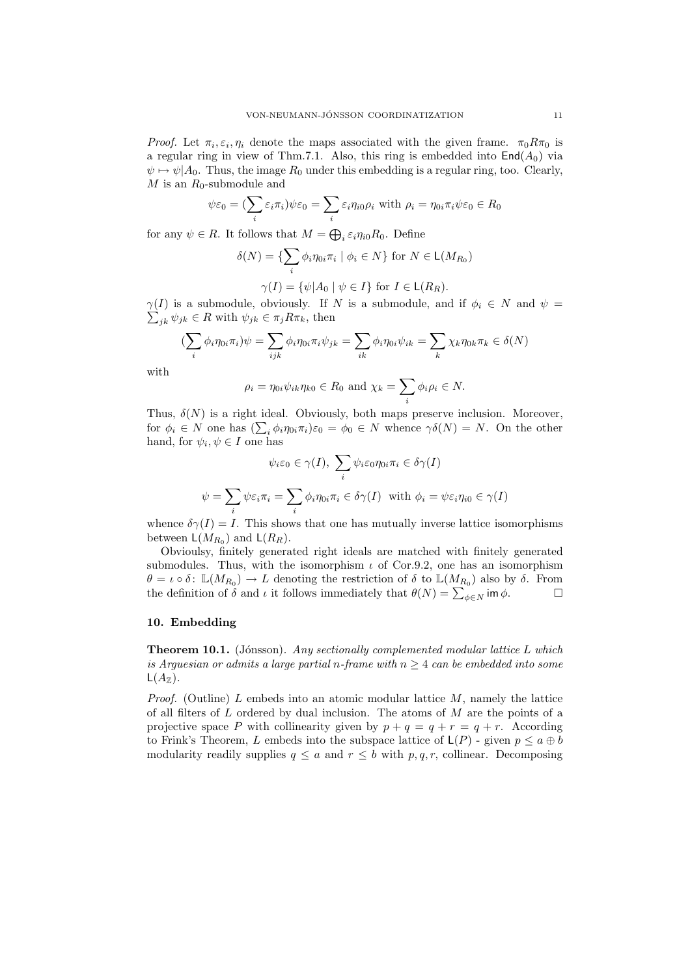*Proof.* Let  $\pi_i, \varepsilon_i, \eta_i$  denote the maps associated with the given frame.  $\pi_0 R \pi_0$  is a regular ring in view of Thm.7.1. Also, this ring is embedded into  $\text{End}(A_0)$  via  $\psi \mapsto \psi | A_0$ . Thus, the image  $R_0$  under this embedding is a regular ring, too. Clearly,  $M$  is an  $R_0$ -submodule and

$$
\psi \varepsilon_0 = (\sum_i \varepsilon_i \pi_i) \psi \varepsilon_0 = \sum_i \varepsilon_i \eta_i 0 \rho_i \text{ with } \rho_i = \eta_0 i \pi_i \psi \varepsilon_0 \in R_0
$$

for any  $\psi \in R$ . It follows that  $M = \bigoplus_i \varepsilon_i \eta_{i0} R_0$ . Define

$$
\delta(N) = \{ \sum_{i} \phi_i \eta_{0i} \pi_i \mid \phi_i \in N \} \text{ for } N \in \mathsf{L}(M_{R_0})
$$

$$
\gamma(I) = \{ \psi | A_0 \mid \psi \in I \} \text{ for } I \in \mathsf{L}(R_R).
$$

 $\sum_{jk} \psi_{jk} \in R$  with  $\psi_{jk} \in \pi_j R \pi_k$ , then  $\gamma(I)$  is a submodule, obviously. If N is a submodule, and if  $\phi_i \in N$  and  $\psi =$ 

$$
\left(\sum_{i} \phi_i \eta_{0i} \pi_i\right) \psi = \sum_{ijk} \phi_i \eta_{0i} \pi_i \psi_{jk} = \sum_{ik} \phi_i \eta_{0i} \psi_{ik} = \sum_{k} \chi_k \eta_{0k} \pi_k \in \delta(N)
$$

with

$$
\rho_i = \eta_{0i}\psi_{ik}\eta_{k0} \in R_0
$$
 and  $\chi_k = \sum_i \phi_i \rho_i \in N$ .

Thus,  $\delta(N)$  is a right ideal. Obviously, both maps preserve inclusion. Moreover, for  $\phi_i \in N$  one has  $(\sum_i \phi_i \eta_{0i} \pi_i) \varepsilon_0 = \phi_0 \in N$  whence  $\gamma \delta(N) = N$ . On the other hand, for  $\psi_i, \psi \in I$  one has

$$
\psi_i \varepsilon_0 \in \gamma(I), \ \sum_i \psi_i \varepsilon_0 \eta_{0i} \pi_i \in \delta \gamma(I)
$$

$$
\psi = \sum_i \psi \varepsilon_i \pi_i = \sum_i \phi_i \eta_{0i} \pi_i \in \delta \gamma(I) \text{ with } \phi_i = \psi \varepsilon_i \eta_{i0} \in \gamma(I)
$$

whence  $\delta \gamma(I) = I$ . This shows that one has mutually inverse lattice isomorphisms between  $\mathsf{L}(M_{R_0})$  and  $\mathsf{L}(R_R)$ .

Obvioulsy, finitely generated right ideals are matched with finitely generated submodules. Thus, with the isomorphism  $\iota$  of Cor.9.2, one has an isomorphism  $\theta = \iota \circ \delta$ :  $\mathbb{L}(M_{R_0}) \to L$  denoting the restriction of  $\delta$  to  $\mathbb{L}(M_{R_0})$  also by  $\delta$ . From the definition of  $\delta$  and  $\iota$  it follows immediately that  $\theta(N) = \sum_{\phi \in N}$  im  $\phi$ .

### 10. Embedding

**Theorem 10.1.** (Jónsson). Any sectionally complemented modular lattice L which is Arguesian or admits a large partial n-frame with  $n > 4$  can be embedded into some  $\mathsf{L}(A_{\mathbb{Z}}).$ 

*Proof.* (Outline) L embeds into an atomic modular lattice  $M$ , namely the lattice of all filters of  $L$  ordered by dual inclusion. The atoms of  $M$  are the points of a projective space P with collinearity given by  $p + q = q + r = q + r$ . According to Frink's Theorem, L embeds into the subspace lattice of  $\mathsf{L}(P)$  - given  $p \leq a \oplus b$ modularity readily supplies  $q \leq a$  and  $r \leq b$  with  $p, q, r$ , collinear. Decomposing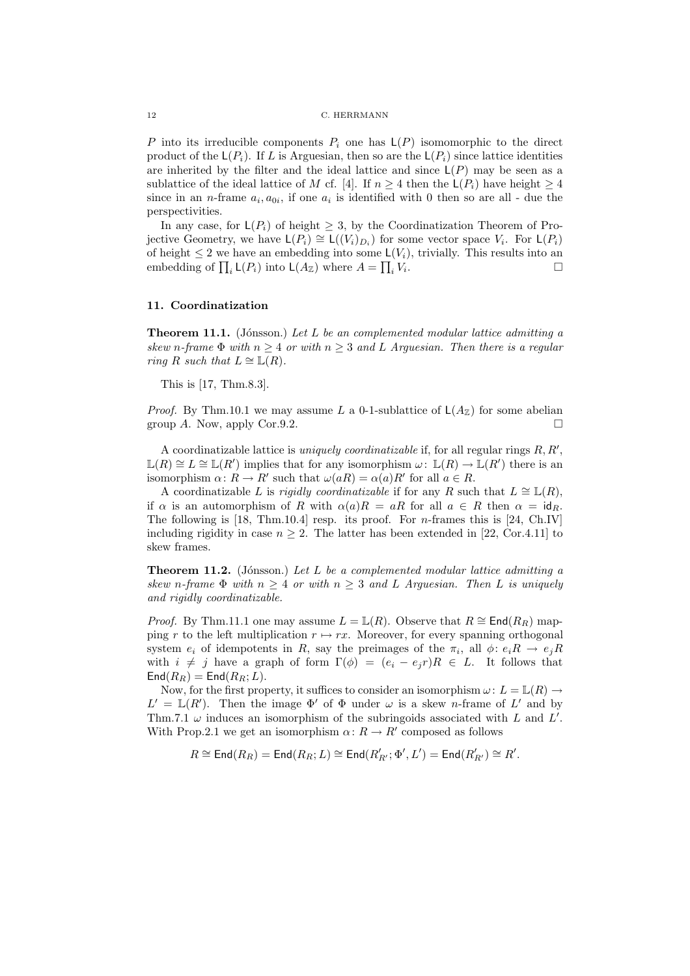P into its irreducible components  $P_i$  one has  $\mathsf{L}(P)$  isomomorphic to the direct product of the  $\mathsf{L}(P_i)$ . If L is Arguesian, then so are the  $\mathsf{L}(P_i)$  since lattice identities are inherited by the filter and the ideal lattice and since  $\mathsf{L}(P)$  may be seen as a sublattice of the ideal lattice of M cf. [4]. If  $n \geq 4$  then the  $\mathsf{L}(P_i)$  have height  $\geq 4$ since in an *n*-frame  $a_i, a_{0i}$ , if one  $a_i$  is identified with 0 then so are all - due the perspectivities.

In any case, for  $\mathsf{L}(P_i)$  of height  $\geq 3$ , by the Coordinatization Theorem of Projective Geometry, we have  $\mathsf{L}(P_i) \cong \mathsf{L}((V_i)_{D_i})$  for some vector space  $V_i$ . For  $\mathsf{L}(P_i)$ of height  $\leq 2$  we have an embedding into some  $\mathsf{L}(V_i)$ , trivially. This results into an embedding of  $\prod_i \mathsf{L}(P_i)$  into  $\mathsf{L}(A_{\mathbb{Z}})$  where  $A = \prod_i V_i$ . — Первый процесс в постановки программа в собстановки программа в собстановки программа в собстановки произв<br>В собстановки производит в собстановки производительно производительно производительно производительно произво

### 11. Coordinatization

**Theorem 11.1.** (Jónsson.) Let L be an complemented modular lattice admitting a skew n-frame  $\Phi$  with  $n \geq 4$  or with  $n \geq 3$  and L Arguesian. Then there is a regular ring R such that  $L \cong \mathbb{L}(R)$ .

This is [17, Thm.8.3].

*Proof.* By Thm.10.1 we may assume L a 0-1-sublattice of  $\mathsf{L}(A_{\mathbb{Z}})$  for some abelian group A. Now, apply Cor.9.2.

A coordinatizable lattice is *uniquely coordinatizable* if, for all regular rings  $R, R'$ ,  $\mathbb{L}(R) \cong L \cong \mathbb{L}(R')$  implies that for any isomorphism  $\omega: \mathbb{L}(R) \to \mathbb{L}(R')$  there is an isomorphism  $\alpha: R \to R'$  such that  $\omega(aR) = \alpha(a)R'$  for all  $a \in R$ .

A coordinatizable L is rigidly coordinatizable if for any R such that  $L \cong \mathbb{L}(R)$ , if  $\alpha$  is an automorphism of R with  $\alpha(a)R = aR$  for all  $a \in R$  then  $\alpha = id_R$ . The following is  $[18, Thm.10.4]$  resp. its proof. For *n*-frames this is  $[24, Ch.IV]$ including rigidity in case  $n \geq 2$ . The latter has been extended in [22, Cor.4.11] to skew frames.

**Theorem 11.2.** (Jónsson.) Let L be a complemented modular lattice admitting a skew n-frame  $\Phi$  with  $n \geq 4$  or with  $n \geq 3$  and L Arguesian. Then L is uniquely and rigidly coordinatizable.

*Proof.* By Thm.11.1 one may assume  $L = \mathbb{L}(R)$ . Observe that  $R \cong \text{End}(R_R)$  mapping r to the left multiplication  $r \mapsto rx$ . Moreover, for every spanning orthogonal system  $e_i$  of idempotents in R, say the preimages of the  $\pi_i$ , all  $\phi: e_i R \to e_j R$ with  $i \neq j$  have a graph of form  $\Gamma(\phi) = (e_i - e_j r)R \in L$ . It follows that  $\textsf{End}(R_R) = \textsf{End}(R_R;L).$ 

Now, for the first property, it suffices to consider an isomorphism  $\omega: L = \mathbb{L}(R) \to$  $L' = \mathbb{L}(R')$ . Then the image  $\Phi'$  of  $\Phi$  under  $\omega$  is a skew *n*-frame of  $L'$  and by Thm.7.1  $\omega$  induces an isomorphism of the subringoids associated with L and L'. With Prop.2.1 we get an isomorphism  $\alpha: R \to R'$  composed as follows

$$
R\cong \operatorname{End}(R_R)=\operatorname{End}(R_R;L)\cong \operatorname{End}(R'_{R'};\Phi',L')=\operatorname{End}(R'_{R'})\cong R'.
$$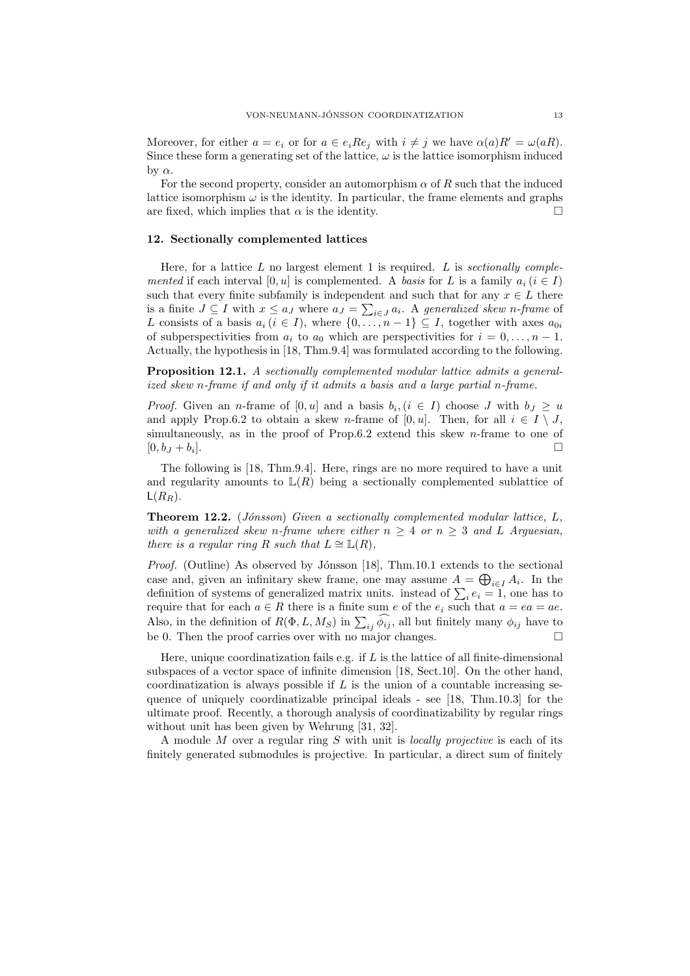Moreover, for either  $a = e_i$  or for  $a \in e_i Re_i$  with  $i \neq j$  we have  $\alpha(a)R' = \omega(aR)$ . Since these form a generating set of the lattice,  $\omega$  is the lattice isomorphism induced by α.

For the second property, consider an automorphism  $\alpha$  of R such that the induced lattice isomorphism  $\omega$  is the identity. In particular, the frame elements and graphs are fixed, which implies that  $\alpha$  is the identity.

#### 12. Sectionally complemented lattices

Here, for a lattice  $L$  no largest element 1 is required.  $L$  is sectionally complemented if each interval [0, u] is complemented. A basis for L is a family  $a_i$  ( $i \in I$ ) such that every finite subfamily is independent and such that for any  $x \in L$  there is a finite  $J \subseteq I$  with  $x \le a_J$  where  $a_J = \sum_{i \in J} a_i$ . A generalized skew n-frame of L consists of a basis  $a_i$   $(i \in I)$ , where  $\{0, \ldots, n-1\} \subseteq I$ , together with axes  $a_{0i}$ of subperspectivities from  $a_i$  to  $a_0$  which are perspectivities for  $i = 0, \ldots, n - 1$ . Actually, the hypothesis in [18, Thm.9.4] was formulated according to the following.

Proposition 12.1. A sectionally complemented modular lattice admits a generalized skew n-frame if and only if it admits a basis and a large partial n-frame.

*Proof.* Given an *n*-frame of  $[0, u]$  and a basis  $b_i, (i \in I)$  choose J with  $b_j \geq u$ and apply Prop.6.2 to obtain a skew n-frame of [0, u]. Then, for all  $i \in I \setminus J$ , simultaneously, as in the proof of Prop.6.2 extend this skew n-frame to one of  $[0, b<sub>J</sub> + b<sub>i</sub>].$ ].

The following is [18, Thm.9.4]. Here, rings are no more required to have a unit and regularity amounts to  $\mathbb{L}(R)$  being a sectionally complemented sublattice of  $L(R_R)$ .

**Theorem 12.2.** (Jónsson) Given a sectionally complemented modular lattice,  $L$ , with a generalized skew n-frame where either  $n \geq 4$  or  $n \geq 3$  and L Arguesian, there is a regular ring R such that  $L \cong \mathbb{L}(R)$ ,

*Proof.* (Outline) As observed by Jónsson [18], Thm.10.1 extends to the sectional case and, given an infinitary skew frame, one may assume  $A = \bigoplus_{i \in I} A_i$ . In the definition of systems of generalized matrix units. instead of  $\sum_i e_i = 1$ , one has to require that for each  $a \in R$  there is a finite sum e of the  $e_i$  such that  $a = ea = ae$ . Also, in the definition of  $R(\Phi, L, M_S)$  in  $\sum_{ij} \widehat{\phi_{ij}}$ , all but finitely many  $\phi_{ij}$  have to be 0. Then the proof carries over with no major changes.

Here, unique coordinatization fails e.g. if  $L$  is the lattice of all finite-dimensional subspaces of a vector space of infinite dimension [18, Sect.10]. On the other hand, coordinatization is always possible if  $L$  is the union of a countable increasing sequence of uniquely coordinatizable principal ideals - see [18, Thm.10.3] for the ultimate proof. Recently, a thorough analysis of coordinatizability by regular rings without unit has been given by Wehrung [31, 32].

A module M over a regular ring S with unit is *locally projective* is each of its finitely generated submodules is projective. In particular, a direct sum of finitely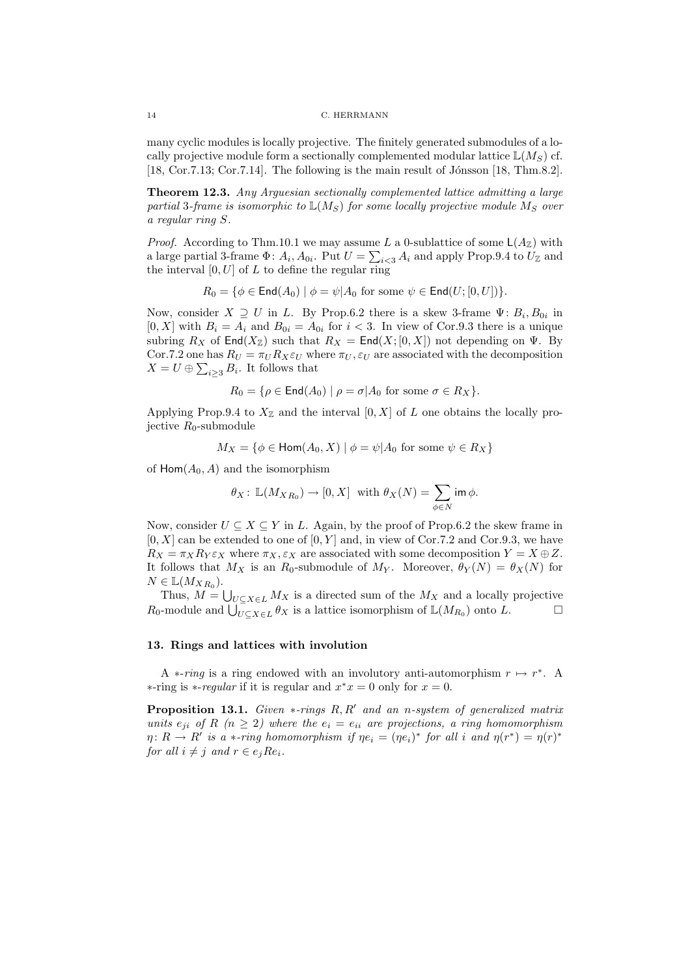#### 14 C. HERRMANN

many cyclic modules is locally projective. The finitely generated submodules of a locally projective module form a sectionally complemented modular lattice  $\mathbb{L}(M_S)$  cf. [18, Cor.7.13; Cor.7.14]. The following is the main result of Jónsson [18, Thm.8.2].

Theorem 12.3. Any Arguesian sectionally complemented lattice admitting a large partial 3-frame is isomorphic to  $\mathbb{L}(M_S)$  for some locally projective module  $M_S$  over a regular ring S.

*Proof.* According to Thm.10.1 we may assume L a 0-sublattice of some  $\mathsf{L}(A_{\mathbb{Z}})$  with a large partial 3-frame  $\Phi: A_i, A_{0i}$ . Put  $U = \sum_{i \leq 3} A_i$  and apply Prop. 9.4 to  $U_{\mathbb{Z}}$  and the interval  $[0, U]$  of  $L$  to define the regular ring

$$
R_0 = \{ \phi \in \mathsf{End}(A_0) \mid \phi = \psi | A_0 \text{ for some } \psi \in \mathsf{End}(U; [0, U]) \}.
$$

Now, consider  $X \supseteq U$  in L. By Prop.6.2 there is a skew 3-frame  $\Psi: B_i, B_{0i}$  in  $[0, X]$  with  $B_i = A_i$  and  $B_{0i} = A_{0i}$  for  $i < 3$ . In view of Cor.9.3 there is a unique subring  $R_X$  of  $\textsf{End}(X_{\mathbb{Z}})$  such that  $R_X = \textsf{End}(X; [0, X])$  not depending on  $\Psi$ . By Cor.7.2 one has  $R_U = \pi_U R_X \varepsilon_U$  where  $\pi_U, \varepsilon_U$  are associated with the decomposition  $X = U \oplus \sum_{i \geq 3} B_i$ . It follows that

$$
R_0 = \{ \rho \in \text{End}(A_0) \mid \rho = \sigma | A_0 \text{ for some } \sigma \in R_X \}.
$$

Applying Prop.9.4 to  $X_{\mathbb{Z}}$  and the interval [0, X] of L one obtains the locally projective  $R_0$ -submodule

$$
M_X = \{ \phi \in \text{Hom}(A_0, X) \mid \phi = \psi | A_0 \text{ for some } \psi \in R_X \}
$$

of  $\text{Hom}(A_0, A)$  and the isomorphism

$$
\theta_X\colon\thinspace \mathbb L(M_{XR_0}) \to [0,X] \ \text{ with } \theta_X(N) = \sum_{\phi \in N} \text{im } \phi.
$$

Now, consider  $U \subseteq X \subseteq Y$  in L. Again, by the proof of Prop.6.2 the skew frame in  $[0, X]$  can be extended to one of  $[0, Y]$  and, in view of Cor.7.2 and Cor.9.3, we have  $R_X = \pi_X R_Y \varepsilon_X$  where  $\pi_X, \varepsilon_X$  are associated with some decomposition  $Y = X \oplus Z$ . It follows that  $M_X$  is an  $R_0$ -submodule of  $M_Y$ . Moreover,  $\theta_Y(N) = \theta_X(N)$  for  $N \in \mathbb{L}(M_{XR_0}).$ 

Thus,  $M = \bigcup_{U \subseteq X \in L} M_X$  is a directed sum of the  $M_X$  and a locally projective  $R_0$ -module and  $\bigcup_{U \subseteq X \in L} \theta_X$  is a lattice isomorphism of  $\mathbb{L}(M_{R_0})$  onto  $L$ .

# 13. Rings and lattices with involution

A  $*$ -ring is a ring endowed with an involutory anti-automorphism  $r \mapsto r^*$ . A ∗-ring is *∗-regular* if it is regular and  $x^*x = 0$  only for  $x = 0$ .

**Proposition 13.1.** Given  $*$ -rings  $R, R'$  and an n-system of generalized matrix units  $e_{ji}$  of R ( $n \geq 2$ ) where the  $e_i = e_{ii}$  are projections, a ring homomorphism  $\eta: R \to R'$  is a \*-ring homomorphism if  $\eta e_i = (\eta e_i)^*$  for all i and  $\eta(r^*) = \eta(r)^*$ for all  $i \neq j$  and  $r \in e_j R e_i$ .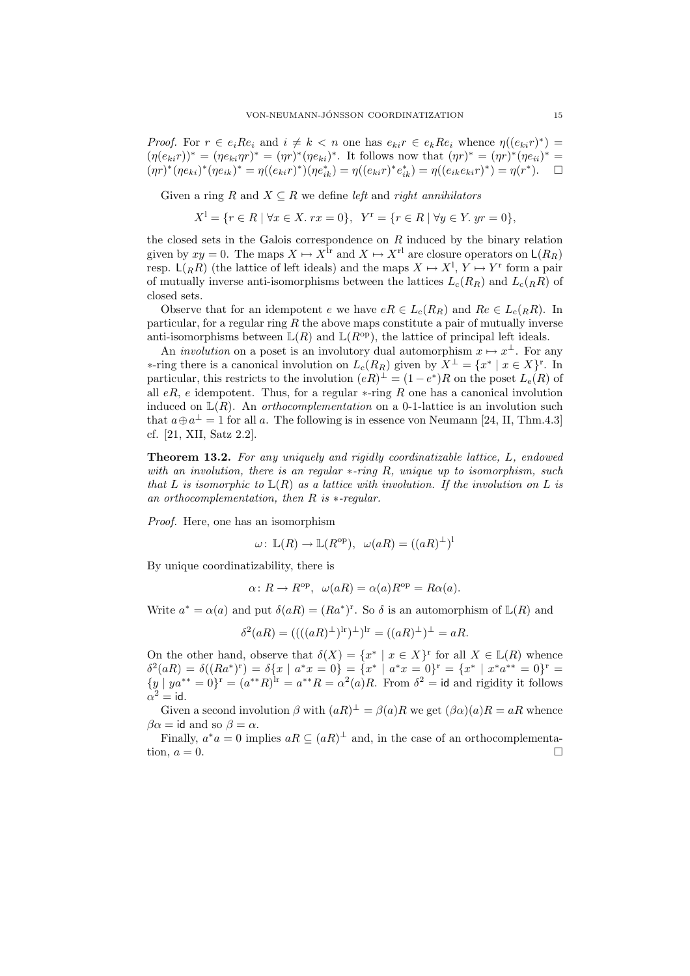*Proof.* For  $r \in e_i R e_i$  and  $i \neq k < n$  one has  $e_{ki} r \in e_k R e_i$  whence  $\eta((e_{ki}r)^*)$  $(\eta(e_{ki}r))^* = (\eta e_{ki}\eta r)^* = (\eta r)^*(\eta e_{ki})^*$ . It follows now that  $(\eta r)^* = (\eta r)^*(\eta e_{ii})^* =$  $(\eta r)^*(\eta e_{ki})^*(\eta e_{ik})^* = \eta((e_{ki}r)^*)(\eta e_{ik}^*) = \eta((e_{ki}r)^*e_{ik}^*) = \eta((e_{ik}e_{ki}r)^*) = \eta(r^*).$ 

Given a ring R and  $X \subseteq R$  we define left and right annihilators

$$
X^{1} = \{ r \in R \mid \forall x \in X. \ rx = 0 \}, \ Y^{r} = \{ r \in R \mid \forall y \in Y. \ yr = 0 \},
$$

the closed sets in the Galois correspondence on  $R$  induced by the binary relation given by  $xy = 0$ . The maps  $X \mapsto X^{\text{lr}}$  and  $X \mapsto X^{\text{rl}}$  are closure operators on  $\mathsf{L}(R_R)$ resp.  $\mathsf{L}(R_R)$  (the lattice of left ideals) and the maps  $X \mapsto X^1, Y \mapsto Y^r$  form a pair of mutually inverse anti-isomorphisms between the lattices  $L_c(R_R)$  and  $L_c(R)$  of closed sets.

Observe that for an idempotent e we have  $eR \in L_c(R_R)$  and  $Re \in L_c({}_RR)$ . In particular, for a regular ring  $R$  the above maps constitute a pair of mutually inverse anti-isomorphisms between  $\mathbb{L}(R)$  and  $\mathbb{L}(R^{\text{op}})$ , the lattice of principal left ideals.

An *involution* on a poset is an involutory dual automorphism  $x \mapsto x^{\perp}$ . For any ∗-ring there is a canonical involution on  $L_c(R_R)$  given by  $X^{\perp} = \{x^* \mid x \in X\}^r$ . In particular, this restricts to the involution  $(eR)^{\perp} = (1-e^*)R$  on the poset  $L_e(R)$  of all  $eR$ , e idempotent. Thus, for a regular  $\ast$ -ring R one has a canonical involution induced on  $\mathbb{L}(R)$ . An *orthocomplementation* on a 0-1-lattice is an involution such that  $a \oplus a^{\perp} = 1$  for all a. The following is in essence von Neumann [24, II, Thm.4.3] cf. [21, XII, Satz 2.2].

Theorem 13.2. For any uniquely and rigidly coordinatizable lattice, L, endowed with an involution, there is an regular  $*$ -ring R, unique up to isomorphism, such that L is isomorphic to  $\mathbb{L}(R)$  as a lattice with involution. If the involution on L is an orthocomplementation, then R is ∗-regular.

Proof. Here, one has an isomorphism

$$
\omega\colon \mathbb{L}(R)\to \mathbb{L}(R^{\text{op}}),\ \omega(aR)=((aR)^{\perp})^{\text{l}}
$$

By unique coordinatizability, there is

$$
\alpha \colon R \to R^{\text{op}}, \ \omega(aR) = \alpha(a)R^{\text{op}} = R\alpha(a).
$$

Write  $a^* = \alpha(a)$  and put  $\delta(aR) = (Ra^*)^r$ . So  $\delta$  is an automorphism of  $\mathbb{L}(R)$  and

$$
\delta^2(aR) = ((( (aR)^{\perp})^{\rm lr})^{\perp})^{\rm lr} = ((aR)^{\perp})^{\perp} = aR.
$$

On the other hand, observe that  $\delta(X) = \{x^* \mid x \in X\}^r$  for all  $X \in L(R)$  whence  $\delta^2(aR) = \delta((Ra^*)^r) = \delta\{x \mid a^*x = 0\} = \{x^* \mid a^*x = 0\}^r = \{x^* \mid x^*a^{**} = 0\}^r =$  $\{y \mid ya^{**} = 0\}^{\text{r}} = (a^{**}R)^{\text{lr}} = a^{**}R = \alpha^2(a)R$ . From  $\delta^2 = \text{id}$  and rigidity it follows  $\alpha^2 = \mathsf{id}.$ 

Given a second involution  $\beta$  with  $(aR)^{\perp} = \beta(a)R$  we get  $(\beta\alpha)(a)R = aR$  whence  $\beta \alpha = id$  and so  $\beta = \alpha$ .

Finally,  $a^*a = 0$  implies  $aR \subseteq (aR)^{\perp}$  and, in the case of an orthocomplementation,  $a = 0$ .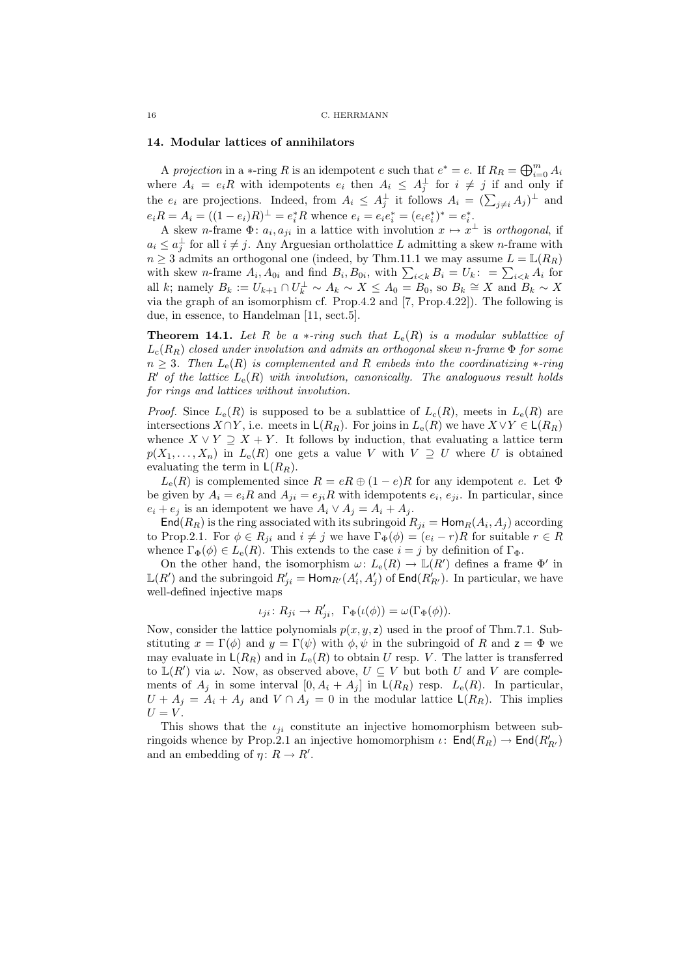#### 14. Modular lattices of annihilators

A projection in a  $\ast$ -ring R is an idempotent e such that  $e^* = e$ . If  $R_R = \bigoplus_{i=0}^m A_i$ where  $A_i = e_i R$  with idempotents  $e_i$  then  $A_i \leq A_j^{\perp}$  for  $i \neq j$  if and only if the  $e_i$  are projections. Indeed, from  $A_i \leq A_j^{\perp}$  it follows  $A_i = (\sum_{j\neq i} A_j)^{\perp}$  and  $e_i R = A_i = ((1 - e_i)R)^{\perp} = e_i^* R$  whence  $e_i = e_i e_i^* = (e_i e_i^*)^* = e_i^*.$ 

A skew *n*-frame  $\Phi: a_i, a_{ji}$  in a lattice with involution  $x \mapsto x^{\perp}$  is orthogonal, if  $a_i \leq a_j^{\perp}$  for all  $i \neq j$ . Any Arguesian ortholattice L admitting a skew n-frame with  $n \geq 3$  admits an orthogonal one (indeed, by Thm.11.1 we may assume  $L = \mathbb{L}(R_R)$ ) with skew *n*-frame  $A_i$ ,  $A_{0i}$  and find  $B_i$ ,  $B_{0i}$ , with  $\sum_{i \leq k} B_i = U_k$ : =  $\sum_{i \leq k} A_i$  for all k; namely  $B_k := U_{k+1} \cap U_k^{\perp} \sim A_k \sim X \leq A_0 = B_0$ , so  $B_k \cong X$  and  $B_k \sim X$ via the graph of an isomorphism cf. Prop.4.2 and [7, Prop.4.22]). The following is due, in essence, to Handelman [11, sect.5].

**Theorem 14.1.** Let R be a  $*$ -ring such that  $L_e(R)$  is a modular sublattice of  $L_c(R_R)$  closed under involution and admits an orthogonal skew n-frame  $\Phi$  for some  $n \geq 3$ . Then  $L_{\rm e}(R)$  is complemented and R embeds into the coordinatizing  $\ast$ -ring R' of the lattice  $L_e(R)$  with involution, canonically. The analoguous result holds for rings and lattices without involution.

*Proof.* Since  $L_e(R)$  is supposed to be a sublattice of  $L_c(R)$ , meets in  $L_e(R)$  are intersections  $X \cap Y$ , i.e. meets in  $\mathsf{L}(R_R)$ . For joins in  $L_e(R)$  we have  $X \vee Y \in \mathsf{L}(R_R)$ whence  $X \vee Y \supseteq X + Y$ . It follows by induction, that evaluating a lattice term  $p(X_1, \ldots, X_n)$  in  $L_e(R)$  one gets a value V with  $V \supseteq U$  where U is obtained evaluating the term in  $\mathsf{L}(R_R)$ .

 $L_{\rm e}(R)$  is complemented since  $R = eR \oplus (1-e)R$  for any idempotent e. Let  $\Phi$ be given by  $A_i = e_i R$  and  $A_{ji} = e_{ji} R$  with idempotents  $e_i, e_{ji}$ . In particular, since  $e_i + e_j$  is an idempotent we have  $A_i \vee A_j = A_i + A_j$ .

 $\mathsf{End}(R_R)$  is the ring associated with its subringoid  $R_{ji} = \mathsf{Hom}_R(A_i, A_j)$  according to Prop.2.1. For  $\phi \in R_{ji}$  and  $i \neq j$  we have  $\Gamma_{\Phi}(\phi) = (e_i - r)R$  for suitable  $r \in R$ whence  $\Gamma_{\Phi}(\phi) \in L_{e}(R)$ . This extends to the case  $i = j$  by definition of  $\Gamma_{\Phi}$ .

On the other hand, the isomorphism  $\omega: L_{e}(R) \to \mathbb{L}(R')$  defines a frame  $\Phi'$  in  $\mathbb{L}(R')$  and the subringoid  $R'_{ji} = \text{Hom}_{R'}(A'_i, A'_j)$  of  $\text{End}(R'_{R'})$ . In particular, we have well-defined injective maps

$$
\iota_{ji} \colon R_{ji} \to R'_{ji}, \ \Gamma_{\Phi}(\iota(\phi)) = \omega(\Gamma_{\Phi}(\phi)).
$$

Now, consider the lattice polynomials  $p(x, y, z)$  used in the proof of Thm.7.1. Substituting  $x = \Gamma(\phi)$  and  $y = \Gamma(\psi)$  with  $\phi, \psi$  in the subringoid of R and  $z = \Phi$  we may evaluate in  $\mathsf{L}(R_R)$  and in  $L_e(R)$  to obtain U resp. V. The latter is transferred to  $\mathbb{L}(R')$  via  $\omega$ . Now, as observed above,  $U \subseteq V$  but both U and V are complements of  $A_j$  in some interval  $[0, A_i + A_j]$  in  $\mathsf{L}(R_R)$  resp.  $L_e(R)$ . In particular,  $U + A_j = A_i + A_j$  and  $V \cap A_j = 0$  in the modular lattice  $\mathsf{L}(R_R)$ . This implies  $U = V$ .

This shows that the  $\iota_{ii}$  constitute an injective homomorphism between subringoids whence by Prop.2.1 an injective homomorphism  $\iota$ :  $\mathsf{End}(R_R) \to \mathsf{End}(R'_{R'})$ and an embedding of  $\eta: R \to R'$ .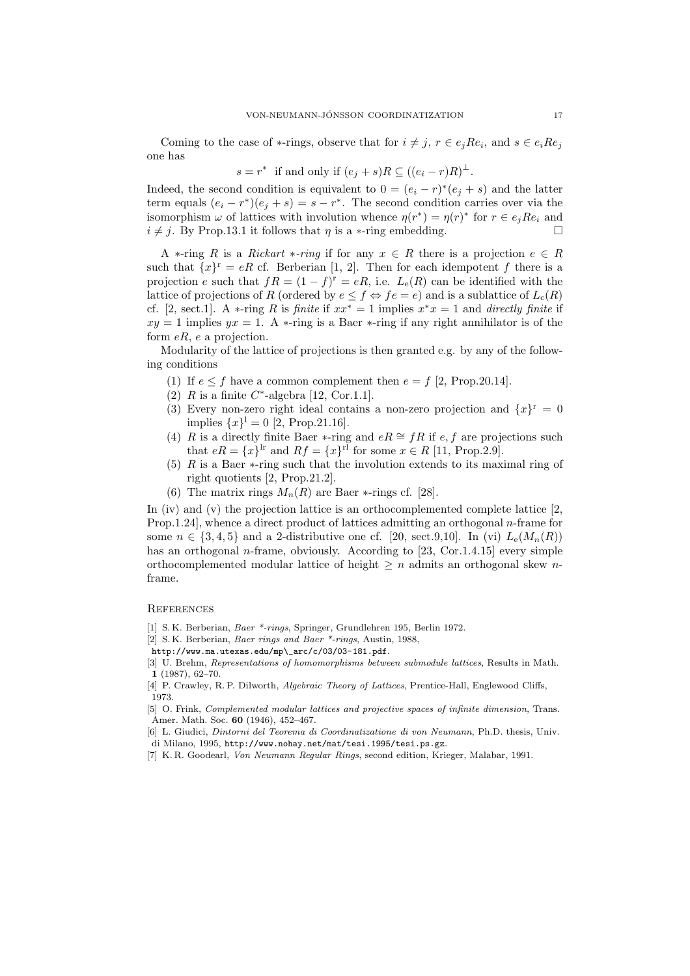Coming to the case of  $*$ -rings, observe that for  $i \neq j$ ,  $r \in e_j R e_i$ , and  $s \in e_i R e_j$ one has

$$
s = r^*
$$
 if and only if  $(e_j + s)R \subseteq ((e_i - r)R)^{\perp}$ .

Indeed, the second condition is equivalent to  $0 = (e_i - r)^*(e_j + s)$  and the latter term equals  $(e_i - r^*)(e_j + s) = s - r^*$ . The second condition carries over via the isomorphism  $\omega$  of lattices with involution whence  $\eta(r^*) = \eta(r)^*$  for  $r \in e_j R e_i$  and  $i \neq j$ . By Prop.13.1 it follows that  $\eta$  is a ∗-ring embedding.

A  $\ast$ -ring R is a Rickart  $\ast$ -ring if for any  $x \in R$  there is a projection  $e \in R$ such that  $\{x\}^r = eR$  cf. Berberian [1, 2]. Then for each idempotent f there is a projection e such that  $fR = (1 - f)^r = eR$ , i.e.  $L_e(R)$  can be identified with the lattice of projections of R (ordered by  $e \leq f \Leftrightarrow fe = e$ ) and is a sublattice of  $L_c(R)$ cf. [2, sect.1]. A \*-ring R is finite if  $xx^* = 1$  implies  $x^*x = 1$  and directly finite if  $xy = 1$  implies  $yx = 1$ . A  $\ast$ -ring is a Baer  $\ast$ -ring if any right annihilator is of the form  $eR$ , e a projection.

Modularity of the lattice of projections is then granted e.g. by any of the following conditions

- (1) If  $e \leq f$  have a common complement then  $e = f$  [2, Prop.20.14].
- (2)  $R$  is a finite  $C^*$ -algebra [12, Cor.1.1].
- (3) Every non-zero right ideal contains a non-zero projection and  $\{x\}^r = 0$ implies  $\{x\}^1 = 0$  [2, Prop.21.16].
- (4) R is a directly finite Baer ∗-ring and  $eR \cong fR$  if  $e, f$  are projections such that  $eR = \{x\}^{\text{lr}}$  and  $Rf = \{x\}^{\text{rl}}$  for some  $x \in R$  [11, Prop.2.9].
- (5) R is a Baer  $\ast$ -ring such that the involution extends to its maximal ring of right quotients [2, Prop.21.2].
- (6) The matrix rings  $M_n(R)$  are Baer  $\ast$ -rings cf. [28].

In (iv) and (v) the projection lattice is an orthocomplemented complete lattice  $[2, 1]$ Prop.1.24], whence a direct product of lattices admitting an orthogonal n-frame for some  $n \in \{3,4,5\}$  and a 2-distributive one cf. [20, sect.9,10]. In (vi)  $L_{\rm e}(M_n(R))$ has an orthogonal *n*-frame, obviously. According to [23, Cor.1.4.15] every simple orthocomplemented modular lattice of height  $\geq n$  admits an orthogonal skew nframe.

### **REFERENCES**

- [1] S. K. Berberian, Baer \*-rings, Springer, Grundlehren 195, Berlin 1972.
- [2] S. K. Berberian, Baer rings and Baer \*-rings, Austin, 1988,
- http://www.ma.utexas.edu/mp\\_arc/c/03/03-181.pdf.
- [3] U. Brehm, Representations of homomorphisms between submodule lattices, Results in Math. 1 (1987), 62–70.
- [4] P. Crawley, R. P. Dilworth, Algebraic Theory of Lattices, Prentice-Hall, Englewood Cliffs, 1973.
- [5] O. Frink, Complemented modular lattices and projective spaces of infinite dimension, Trans. Amer. Math. Soc. 60 (1946), 452–467.
- [6] L. Giudici, Dintorni del Teorema di Coordinatizatione di von Neumann, Ph.D. thesis, Univ. di Milano, 1995, http://www.nohay.net/mat/tesi.1995/tesi.ps.gz.
- [7] K. R. Goodearl, Von Neumann Regular Rings, second edition, Krieger, Malabar, 1991.